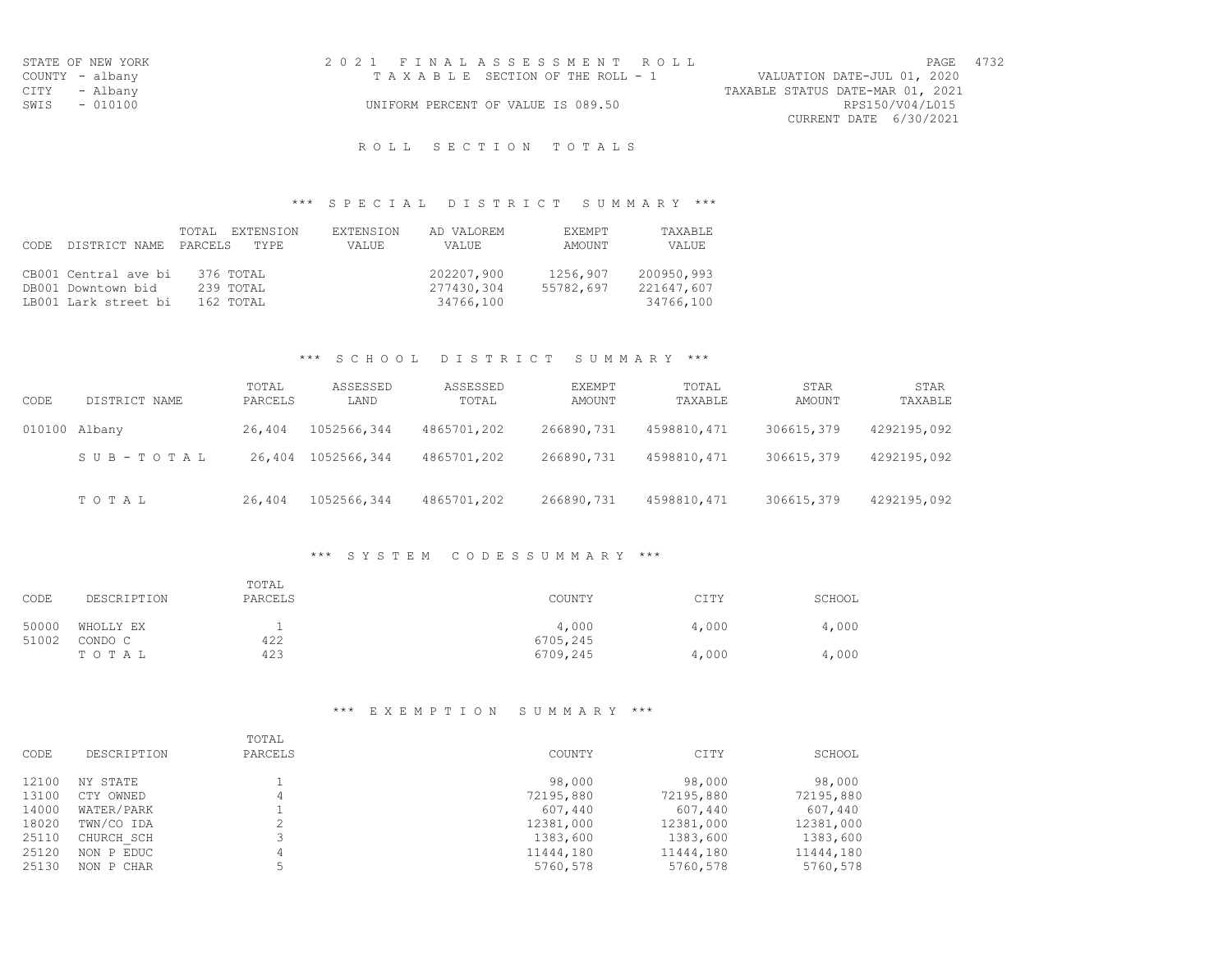| STATE OF NEW YORK | 2021 FINALASSESSMENT ROLL          | 4732<br>PAGE                     |
|-------------------|------------------------------------|----------------------------------|
| COUNTY - albany   | TAXABLE SECTION OF THE ROLL - 1    | VALUATION DATE-JUL 01, 2020      |
| CITY - Albany     |                                    | TAXABLE STATUS DATE-MAR 01, 2021 |
| SWIS - 010100     | UNIFORM PERCENT OF VALUE IS 089.50 | RPS150/V04/L015                  |
|                   |                                    | CURRENT DATE 6/30/2021           |

### R O L L S E C T I O N T O T A L S

# \*\*\* S P E C I A L D I S T R I C T S U M M A R Y \*\*\*

|       |                       | TOTAL EXTENSION | <b>EXTENSION</b> | AD VALOREM | EXEMPT    | TAXABLE    |
|-------|-----------------------|-----------------|------------------|------------|-----------|------------|
| CODE. | DISTRICT NAME PARCELS | TYPE.           | VALUE            | VALUE      | AMOUNT    | VALUE      |
|       |                       |                 |                  |            |           |            |
|       | CB001 Central ave bi  | 376 TOTAL       |                  | 202207,900 | 1256,907  | 200950,993 |
|       | DB001 Downtown bid    | 239 TOTAL       |                  | 277430,304 | 55782,697 | 221647,607 |
|       | LB001 Lark street bi  | 162 TOTAL       |                  | 34766,100  |           | 34766,100  |

### \*\*\* S C H O O L D I S T R I C T S U M M A R Y \*\*\*

| CODE | DISTRICT NAME | TOTAL<br>PARCELS | ASSESSED<br>LAND | ASSESSED<br>TOTAL | EXEMPT<br>AMOUNT | TOTAL<br>TAXABLE | STAR<br>AMOUNT | STAR<br>TAXABLE |
|------|---------------|------------------|------------------|-------------------|------------------|------------------|----------------|-----------------|
|      | 010100 Albany | 26,404           | 1052566,344      | 4865701,202       | 266890,731       | 4598810, 471     | 306615,379     | 4292195,092     |
|      | SUB-TOTAL     | 26,404           | 1052566,344      | 4865701,202       | 266890,731       | 4598810, 471     | 306615,379     | 4292195,092     |
|      | TOTAL         | 26,404           | 1052566,344      | 4865701,202       | 266890,731       | 4598810, 471     | 306615,379     | 4292195,092     |

## \*\*\* S Y S T E M C O D E S S U M M A R Y \*\*\*

| CODE  | DESCRIPTION | TOTAL<br>PARCELS | COUNTY   | CITY  | SCHOOL |
|-------|-------------|------------------|----------|-------|--------|
| 50000 | WHOLLY EX   | <b>.</b>         | 4,000    | 4,000 | 4,000  |
| 51002 | CONDO C     | 422              | 6705,245 |       |        |
|       | TOTAL       | 423              | 6709,245 | 4,000 | 4,000  |

# \*\*\* E X E M P T I O N S U M M A R Y \*\*\*

| CODE  | DESCRIPTION | TOTAL<br>PARCELS | COUNTY    | CITY      | SCHOOL    |
|-------|-------------|------------------|-----------|-----------|-----------|
| 12100 | NY STATE    |                  | 98,000    | 98,000    | 98,000    |
| 13100 | CTY OWNED   | 4                | 72195,880 | 72195,880 | 72195,880 |
| 14000 | WATER/PARK  |                  | 607,440   | 607,440   | 607,440   |
| 18020 | TWN/CO IDA  |                  | 12381,000 | 12381,000 | 12381,000 |
| 25110 | CHURCH SCH  |                  | 1383,600  | 1383,600  | 1383,600  |
| 25120 | NON P EDUC  | 4                | 11444,180 | 11444,180 | 11444,180 |
| 25130 | NON P CHAR  | ц                | 5760,578  | 5760,578  | 5760,578  |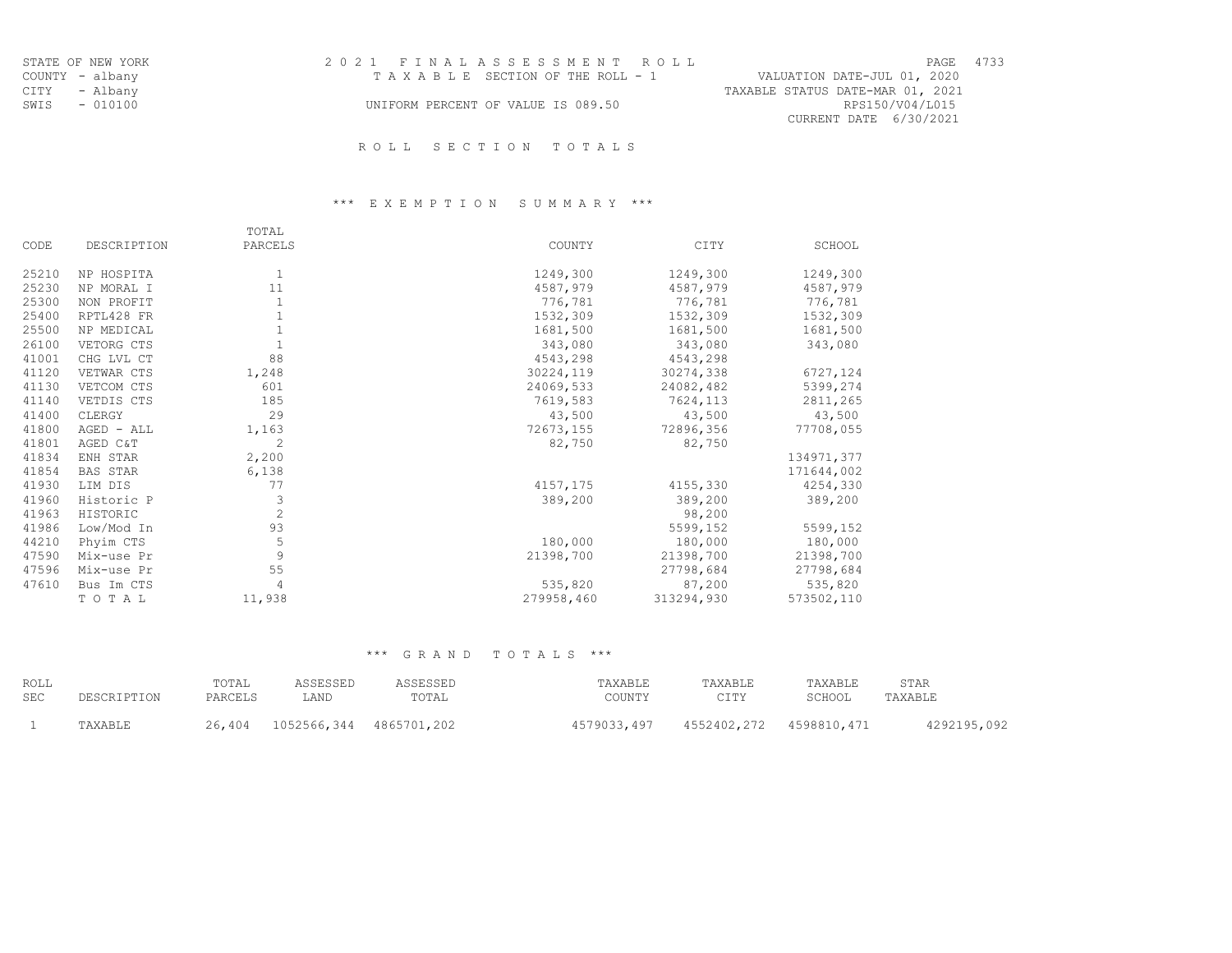| STATE OF NEW YORK | 2021 FINAL ASSESSMENT ROLL         | 4733<br>PAGE                     |
|-------------------|------------------------------------|----------------------------------|
| COUNTY - albany   | TAXABLE SECTION OF THE ROLL - 1    | VALUATION DATE-JUL 01, 2020      |
| CITY - Albany     |                                    | TAXABLE STATUS DATE-MAR 01, 2021 |
| SWIS - 010100     | UNIFORM PERCENT OF VALUE IS 089.50 | RPS150/V04/L015                  |
|                   |                                    | CURRENT DATE 6/30/2021           |
|                   |                                    |                                  |

# \*\*\* E X E M P T I O N S U M M A R Y \*\*\*

|       |             | TOTAL          |            |            |            |
|-------|-------------|----------------|------------|------------|------------|
| CODE  | DESCRIPTION | PARCELS        | COUNTY     | CITY       | SCHOOL     |
| 25210 | NP HOSPITA  | 1              | 1249,300   | 1249,300   | 1249,300   |
| 25230 | NP MORAL I  | 11             | 4587,979   | 4587,979   | 4587,979   |
| 25300 | NON PROFIT  | $\mathbf{1}$   | 776,781    | 776,781    | 776,781    |
| 25400 | RPTL428 FR  |                | 1532,309   | 1532,309   | 1532,309   |
| 25500 | NP MEDICAL  |                | 1681,500   | 1681,500   | 1681,500   |
| 26100 | VETORG CTS  | $\mathbf{1}$   | 343,080    | 343,080    | 343,080    |
| 41001 | CHG LVL CT  | 88             | 4543,298   | 4543,298   |            |
| 41120 | VETWAR CTS  | 1,248          | 30224,119  | 30274,338  | 6727,124   |
| 41130 | VETCOM CTS  | 601            | 24069,533  | 24082,482  | 5399,274   |
| 41140 | VETDIS CTS  | 185            | 7619,583   | 7624,113   | 2811,265   |
| 41400 | CLERGY      | 29             | 43,500     | 43,500     | 43,500     |
| 41800 | AGED - ALL  | 1,163          | 72673,155  | 72896,356  | 77708,055  |
| 41801 | AGED C&T    | $\overline{c}$ | 82,750     | 82,750     |            |
| 41834 | ENH STAR    | 2,200          |            |            | 134971,377 |
| 41854 | BAS STAR    | 6,138          |            |            | 171644,002 |
| 41930 | LIM DIS     | 77             | 4157,175   | 4155,330   | 4254,330   |
| 41960 | Historic P  | 3              | 389,200    | 389,200    | 389,200    |
| 41963 | HISTORIC    | $\overline{c}$ |            | 98,200     |            |
| 41986 | Low/Mod In  | 93             |            | 5599,152   | 5599,152   |
| 44210 | Phyim CTS   | $\mathbb S$    | 180,000    | 180,000    | 180,000    |
| 47590 | Mix-use Pr  | $\overline{9}$ | 21398,700  | 21398,700  | 21398,700  |
| 47596 | Mix-use Pr  | 55             |            | 27798,684  | 27798,684  |
| 47610 | Bus Im CTS  | $\overline{4}$ | 535,820    | 87,200     | 535,820    |
|       | TOTAL       | 11,938         | 279958,460 | 313294,930 | 573502,110 |

| ROLL |             | TOTAL   | ASSESSED                       | ASSESSED | TAXABLE     | TAXABLE | TAXABLE                 | STAR        |
|------|-------------|---------|--------------------------------|----------|-------------|---------|-------------------------|-------------|
| SEC  | DESCRIPTION | PARCELS | AND                            | TOTAL    | COUNTY      | CITV    | SCHOOL                  | TAXABLE     |
|      | TAXABLE     |         | 26,404 1052566,344 4865701,202 |          | 4579033,497 |         | 4552402,272 4598810,471 | 4292195,092 |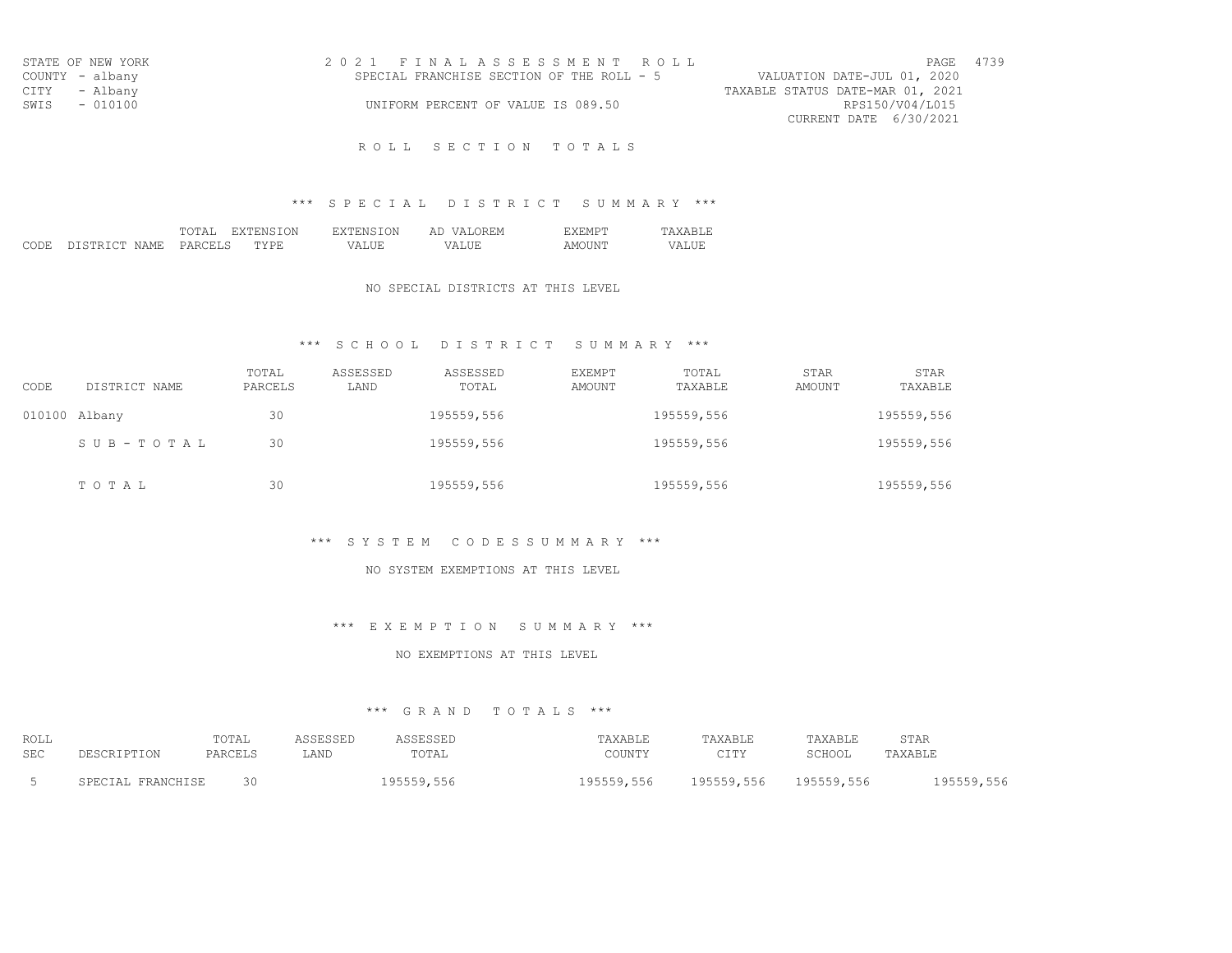| STATE OF NEW YORK | 2021 FINALASSESSMENT ROLL                 | PAGE 4739                        |
|-------------------|-------------------------------------------|----------------------------------|
| COUNTY - albany   | SPECIAL FRANCHISE SECTION OF THE ROLL - 5 | VALUATION DATE-JUL 01, 2020      |
| CITY - Albany     |                                           | TAXABLE STATUS DATE-MAR 01, 2021 |
| SWIS - 010100     | UNIFORM PERCENT OF VALUE IS 089.50        | RPS150/V04/L015                  |
|                   |                                           | CURRENT DATE 6/30/2021           |

## \*\*\* S P E C I A L D I S T R I C T S U M M A R Y \*\*\*

|              |                       | .<br>-----    | . )N<br>78. IV.  | .ON          | $\sqrt{N}$<br>ΑI<br>.<br><u>.</u> | $ V  \sim$<br>--------   | $\cdots$        |
|--------------|-----------------------|---------------|------------------|--------------|-----------------------------------|--------------------------|-----------------|
| CODE.<br>--- | NAME.<br>" STR .<br>. | -----<br>PARC | 7 D L<br>- - - - | $\mathbf{v}$ | .<br>.                            | . INF<br>A M<br>$2211 -$ | $\sqrt{2}$<br>. |

#### NO SPECIAL DISTRICTS AT THIS LEVEL

## \*\*\* S C H O O L D I S T R I C T S U M M A R Y \*\*\*

| CODE | DISTRICT NAME   | TOTAL<br>PARCELS | ASSESSED<br>LAND | ASSESSED<br>TOTAL | EXEMPT<br>AMOUNT | TOTAL<br>TAXABLE | STAR<br>AMOUNT | STAR<br>TAXABLE |
|------|-----------------|------------------|------------------|-------------------|------------------|------------------|----------------|-----------------|
|      | 010100 Albany   | 30               |                  | 195559,556        |                  | 195559,556       |                | 195559,556      |
|      | $SUB - TO T AL$ | 30               |                  | 195559,556        |                  | 195559,556       |                | 195559,556      |
|      | TOTAL           | 30               |                  | 195559,556        |                  | 195559,556       |                | 195559,556      |

#### \*\*\* S Y S T E M C O D E S S U M M A R Y \*\*\*

#### NO SYSTEM EXEMPTIONS AT THIS LEVEL

## \*\*\* E X E M P T I O N S U M M A R Y \*\*\*

#### NO EXEMPTIONS AT THIS LEVEL

| ROLL<br>SEC | <b>TOTAT</b><br>----<br>DADMFT | LAND | $T$ $\cap$ $T$ $\Delta$ $T$<br>. | COLINTY<br>UUUN 11 | $\cap$ T m $\vee$<br>--- | <b>CAYARLF</b><br>$CCTI\cap T$<br>- LAN | STAR<br>ם דם ת עתי |
|-------------|--------------------------------|------|----------------------------------|--------------------|--------------------------|-----------------------------------------|--------------------|
|             | 30                             |      |                                  | 556<br>$0.5550$    | Q555Q556                 | 556<br>$0 -$                            | $  -$              |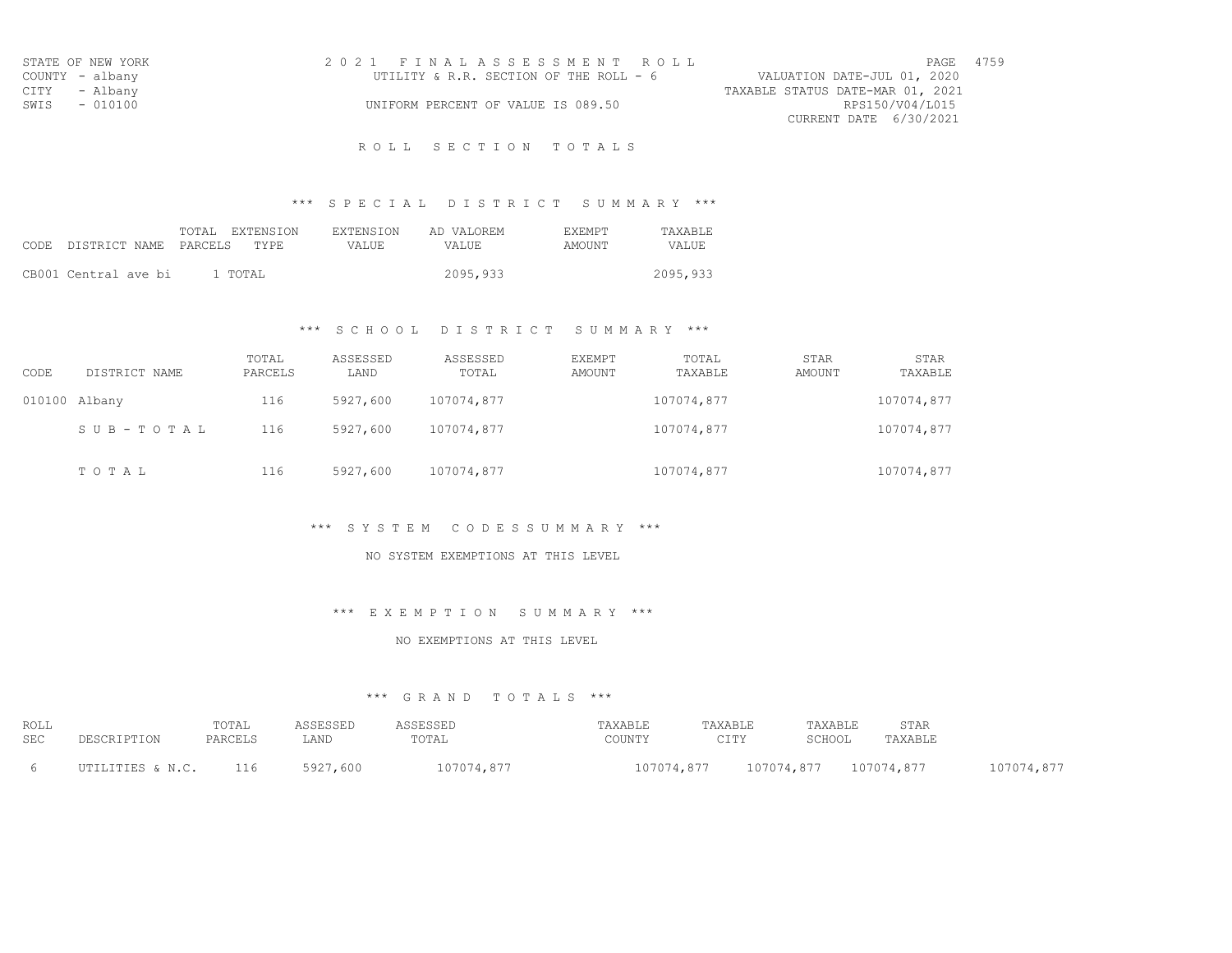| STATE OF NEW YORK | 2021 FINALASSESSMENT ROLL              | 4759<br>PAGE                     |
|-------------------|----------------------------------------|----------------------------------|
| COUNTY - albany   | UTILITY & R.R. SECTION OF THE ROLL - 6 | VALUATION DATE-JUL 01, 2020      |
| CITY - Albany     |                                        | TAXABLE STATUS DATE-MAR 01, 2021 |
| SWIS<br>$-010100$ | UNIFORM PERCENT OF VALUE IS 089.50     | RPS150/V04/L015                  |
|                   |                                        | CURRENT DATE 6/30/2021           |

## \*\*\* S P E C I A L D I S T R I C T S U M M A R Y \*\*\*

|      |                       | FXTENSION<br>TOTAL. | <b>EXTENSION</b> | AD VALOREM | <b>EXEMPT</b> | TAXARLE. |
|------|-----------------------|---------------------|------------------|------------|---------------|----------|
| CODE | DISTRICT NAME PARCELS | TYPE.               | VALUE.           | VALUE.     | AMOUNT        | VALUE    |
|      |                       |                     |                  |            |               |          |
|      | CB001 Central ave bi  | 1 TOTAL             |                  | 2095,933   |               | 2095,933 |

## \*\*\* S C H O O L D I S T R I C T S U M M A R Y \*\*\*

| CODE          | DISTRICT NAME | TOTAL<br>PARCELS | ASSESSED<br>LAND | ASSESSED<br>TOTAL | EXEMPT<br>AMOUNT | TOTAL<br>TAXABLE | STAR<br>AMOUNT | STAR<br>TAXABLE |
|---------------|---------------|------------------|------------------|-------------------|------------------|------------------|----------------|-----------------|
| 010100 Albany |               | 116              | 5927,600         | 107074,877        |                  | 107074,877       |                | 107074,877      |
|               | SUB-TOTAL     | 116              | 5927,600         | 107074,877        |                  | 107074,877       |                | 107074,877      |
|               | TOTAL         | 116              | 5927,600         | 107074,877        |                  | 107074,877       |                | 107074,877      |

### \*\*\* S Y S T E M C O D E S S U M M A R Y \*\*\*

### NO SYSTEM EXEMPTIONS AT THIS LEVEL

### \*\*\* E X E M P T I O N S U M M A R Y \*\*\*

### NO EXEMPTIONS AT THIS LEVEL

| ROLL       | $m \wedge m \wedge n$<br>TATAT |      |       |             |                                       |   | ንጥአ<br>. <u>.</u>  |  |
|------------|--------------------------------|------|-------|-------------|---------------------------------------|---|--------------------|--|
| <b>SEC</b> |                                | ᆈᅎᄓᄔ | TOTAL | , U U 1 1 1 | $\sim$ $\tau$ m $\upsilon$<br>- - - - |   | استلسلت سندعد عادا |  |
|            |                                |      |       |             | .                                     | . |                    |  |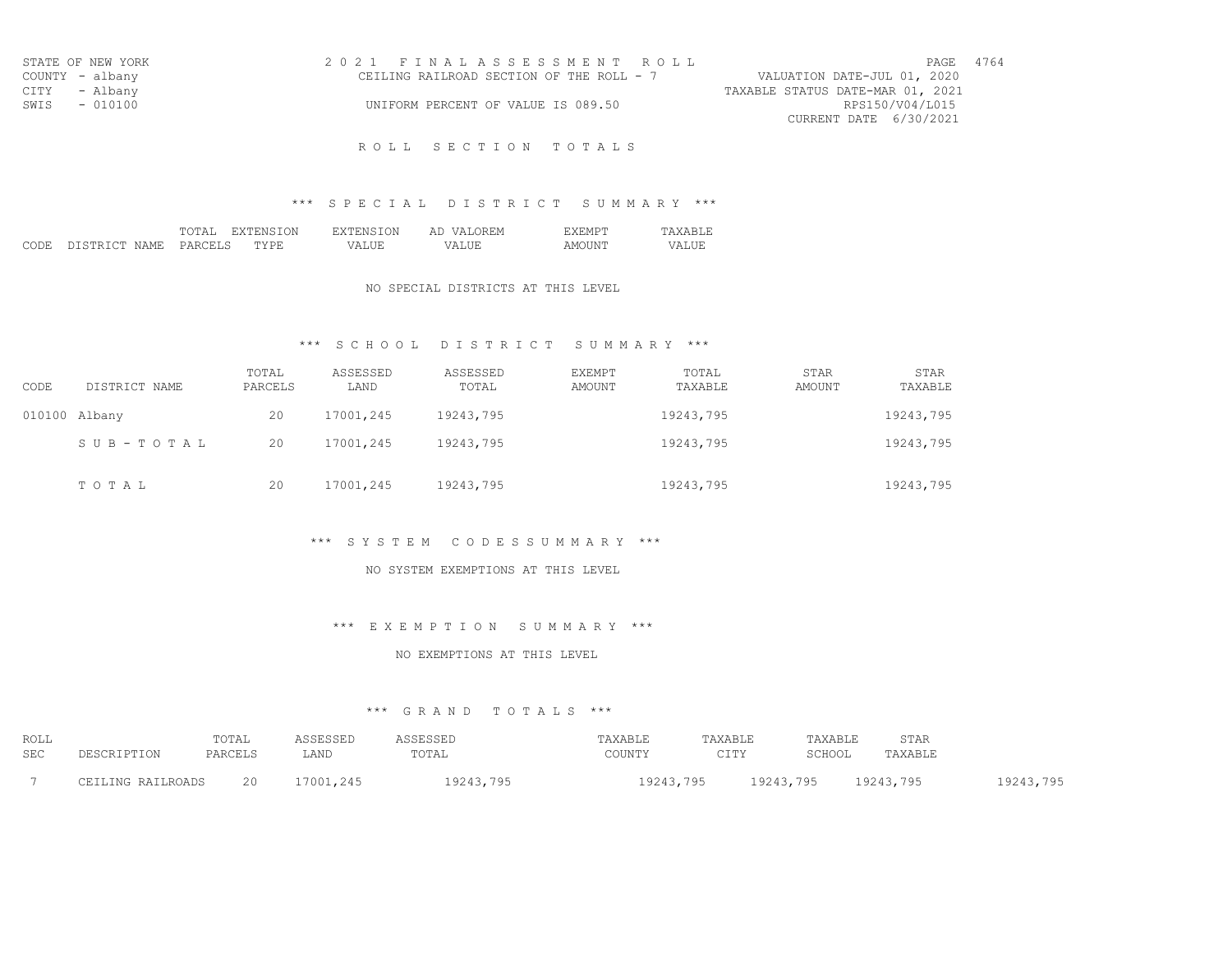| STATE OF NEW YORK | 2021 FINALASSESSMENT ROLL                |                                  | 4764<br>PAGE |  |
|-------------------|------------------------------------------|----------------------------------|--------------|--|
| COUNTY - albany   | CEILING RAILROAD SECTION OF THE ROLL - 7 | VALUATION DATE-JUL 01, 2020      |              |  |
| CITY - Albany     |                                          | TAXABLE STATUS DATE-MAR 01, 2021 |              |  |
| SWIS - 010100     | UNIFORM PERCENT OF VALUE IS 089.50       | RPS150/V04/L015                  |              |  |
|                   |                                          | CURRENT DATE 6/30/2021           |              |  |

## \*\*\* S P E C I A L D I S T R I C T S U M M A R Y \*\*\*

|                                     | FГА<br>----- | ON<br>EUN.<br>. | -ON-<br>∴N Y         | $\sqrt{2}$<br>AL<br>(H∶IV<br>. | $.191 \rightarrow$<br>-------- | $\cdots$ |
|-------------------------------------|--------------|-----------------|----------------------|--------------------------------|--------------------------------|----------|
| חי<br>$\cap$ m $\cap$<br>NAME.<br>. | PARI<br>---- | VDE<br>- - - -  | $\cdot$ / $\Delta$ ' | . ב י<br>.                     | ΔM<br>2211                     | . .<br>. |

#### NO SPECIAL DISTRICTS AT THIS LEVEL

## \*\*\* S C H O O L D I S T R I C T S U M M A R Y \*\*\*

| CODE            | DISTRICT NAME | TOTAL<br>PARCELS | ASSESSED<br>LAND | ASSESSED<br>TOTAL | <b>EXEMPT</b><br>AMOUNT | TOTAL<br>TAXABLE | <b>STAR</b><br>AMOUNT | STAR<br>TAXABLE |
|-----------------|---------------|------------------|------------------|-------------------|-------------------------|------------------|-----------------------|-----------------|
| $010100$ Albany |               | 20               | 17001,245        | 19243,795         |                         | 19243,795        |                       | 19243,795       |
|                 | SUB-TOTAL     | 20               | 17001,245        | 19243,795         |                         | 19243,795        |                       | 19243,795       |
|                 | TOTAL         | 20               | 17001,245        | 19243,795         |                         | 19243,795        |                       | 19243,795       |

### \*\*\* S Y S T E M C O D E S S U M M A R Y \*\*\*

#### NO SYSTEM EXEMPTIONS AT THIS LEVEL

#### \*\*\* E X E M P T I O N S U M M A R Y \*\*\*

#### NO EXEMPTIONS AT THIS LEVEL

| ROLL       |                   | TOTAL   | ASSESSED  | ASSESSED  | TAXABLE   | TAXABLE         | TAXABLE   | STAR      |           |
|------------|-------------------|---------|-----------|-----------|-----------|-----------------|-----------|-----------|-----------|
| <b>SEC</b> | DESCRIPTION       | PARCELS | LAND      | TOTAL     | COUNTY    | CTTV<br>- - - - | SCHOOL    | TAXABLE   |           |
|            | CEILING RAILROADS | 20      | 17001,245 | 19243,795 | 19243,795 |                 | 19243,795 | 19243,795 | 19243,795 |
|            |                   |         |           |           |           |                 |           |           |           |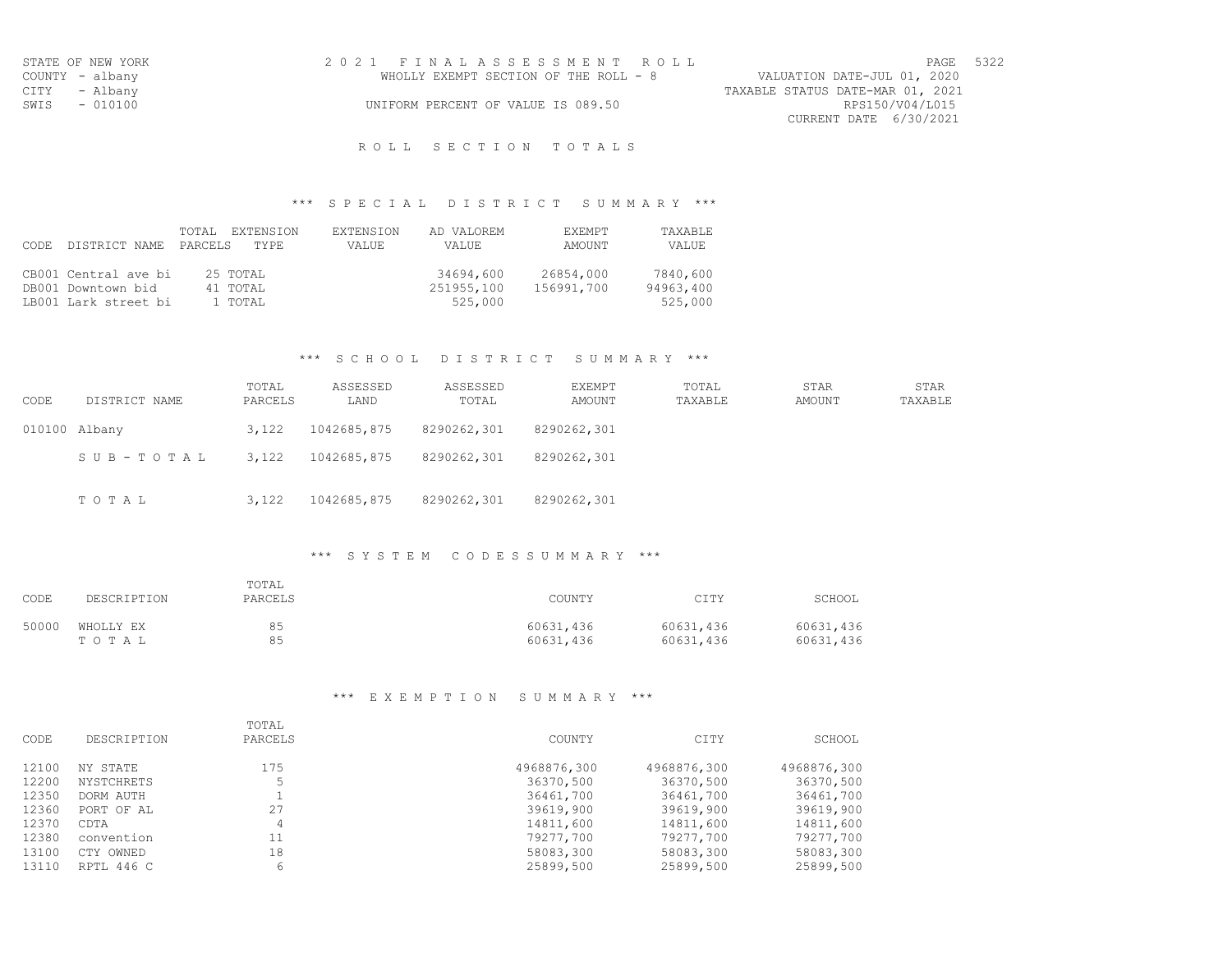| STATE OF NEW YORK | 2021 FINALASSESSMENT ROLL             | PAGE 5322                        |
|-------------------|---------------------------------------|----------------------------------|
| COUNTY - albany   | WHOLLY EXEMPT SECTION OF THE ROLL - 8 | VALUATION DATE-JUL 01, 2020      |
| CITY - Albany     |                                       | TAXABLE STATUS DATE-MAR 01, 2021 |
| SWIS - 010100     | UNIFORM PERCENT OF VALUE IS 089.50    | RPS150/V04/L015                  |
|                   |                                       | CURRENT DATE 6/30/2021           |

### R O L L S E C T I O N T O T A L S

# \*\*\* S P E C I A L D I S T R I C T S U M M A R Y \*\*\*

|       |                      | EXTENSION<br>TOTAL | EXTENSION | AD VALOREM | <b>FXFMPT</b> | <b>TAXABLE</b> |
|-------|----------------------|--------------------|-----------|------------|---------------|----------------|
| CODE. | DISTRICT NAME        | PARCELS<br>TYPE.   | VALUE     | VALUE.     | AMOUNT        | VALUE          |
|       |                      |                    |           |            |               |                |
|       | CB001 Central ave bi | 25 TOTAL           |           | 34694,600  | 26854,000     | 7840,600       |
|       | DB001 Downtown bid   | 41 TOTAL           |           | 251955,100 | 156991,700    | 94963,400      |
|       | LB001 Lark street bi | 1 TOTAL            |           | 525,000    |               | 525,000        |

### \*\*\* S C H O O L D I S T R I C T S U M M A R Y \*\*\*

| CODE | DISTRICT NAME | TOTAL<br>PARCELS | ASSESSED<br>LAND | ASSESSED<br>TOTAL | EXEMPT<br>AMOUNT | TOTAL<br>TAXABLE | STAR<br>AMOUNT | STAR<br>TAXABLE |
|------|---------------|------------------|------------------|-------------------|------------------|------------------|----------------|-----------------|
|      | 010100 Albany | 3,122            | 1042685,875      | 8290262,301       | 8290262,301      |                  |                |                 |
|      | SUB-TOTAL     | 3,122            | 1042685,875      | 8290262,301       | 8290262,301      |                  |                |                 |
|      | TOTAL         | 3,122            | 1042685,875      | 8290262,301       | 8290262,301      |                  |                |                 |

## \*\*\* S Y S T E M C O D E S S U M M A R Y \*\*\*

| CODE  | DESCRIPTION | TOTAL<br>PARCELS | COUNTY    | CITY      | SCHOOL    |
|-------|-------------|------------------|-----------|-----------|-----------|
| 50000 | WHOLLY EX   | 85               | 60631,436 | 60631,436 | 60631,436 |
|       | TOTAL       | 85               | 60631,436 | 60631,436 | 60631,436 |

## \*\*\* E X E M P T I O N S U M M A R Y \*\*\*

|       |                   | TOTAL   |             |             |             |
|-------|-------------------|---------|-------------|-------------|-------------|
| CODE  | DESCRIPTION       | PARCELS | COUNTY      | CITY        | SCHOOL      |
| 12100 | NY STATE          | 175     | 4968876,300 | 4968876,300 | 4968876,300 |
| 12200 | <b>NYSTCHRETS</b> | 5       | 36370,500   | 36370,500   | 36370,500   |
| 12350 | DORM AUTH         |         | 36461,700   | 36461,700   | 36461,700   |
| 12360 | PORT OF AL        | 27      | 39619,900   | 39619,900   | 39619,900   |
| 12370 | CDTA              | 4       | 14811,600   | 14811,600   | 14811,600   |
| 12380 | convention        | 11      | 79277,700   | 79277,700   | 79277,700   |
| 13100 | CTY OWNED         | 18      | 58083,300   | 58083,300   | 58083,300   |
| 13110 | RPTL 446 C        | 6       | 25899,500   | 25899,500   | 25899,500   |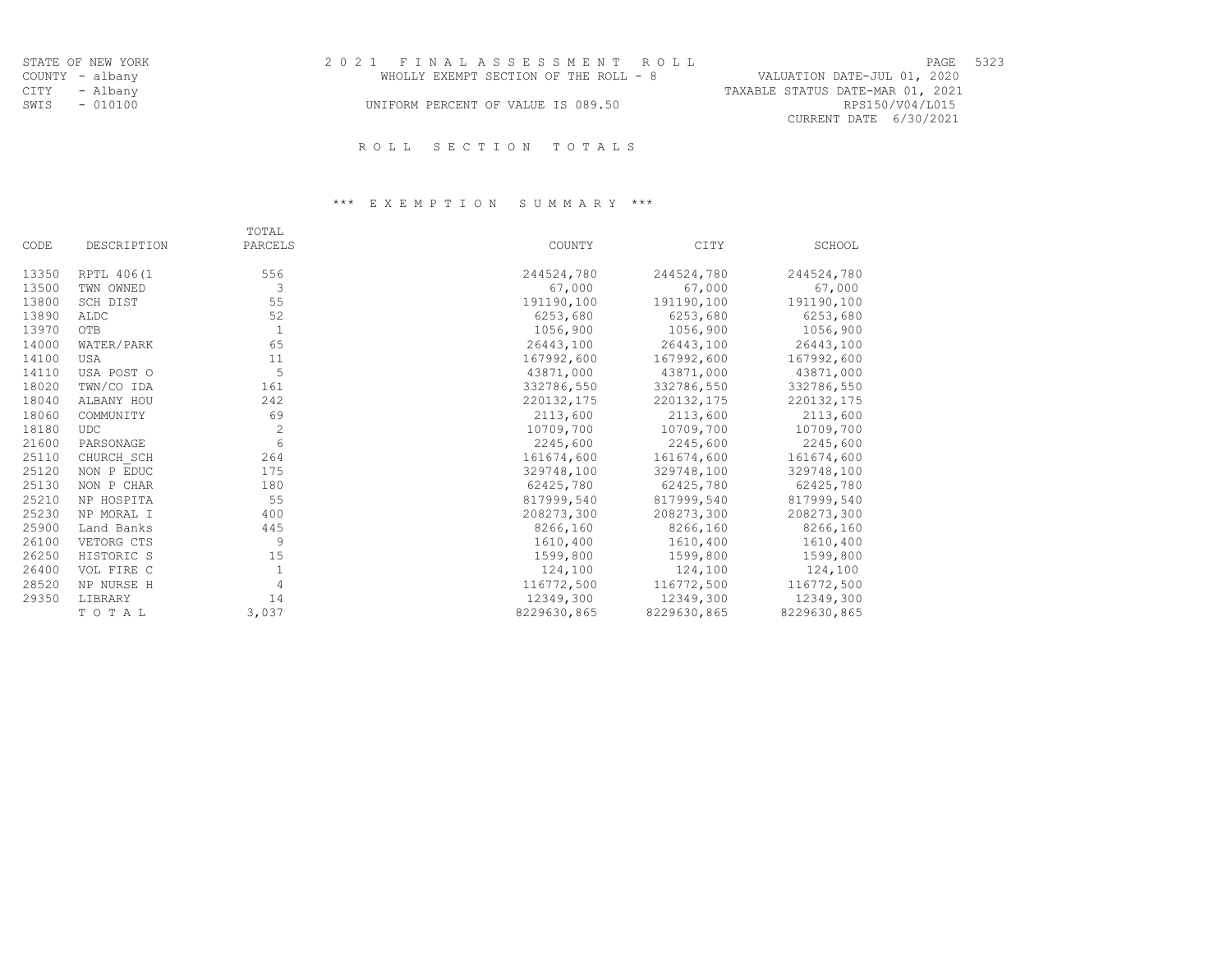| STATE OF NEW YORK | 2021 FINALASSESSMENT ROLL             | PAGE 5323                        |
|-------------------|---------------------------------------|----------------------------------|
|                   |                                       |                                  |
| COUNTY - albany   | WHOLLY EXEMPT SECTION OF THE ROLL - 8 | VALUATION DATE-JUL 01, 2020      |
| CITY - Albany     |                                       | TAXABLE STATUS DATE-MAR 01, 2021 |
| SWIS - 010100     | UNIFORM PERCENT OF VALUE IS 089.50    | RPS150/V04/L015                  |
|                   |                                       | CURRENT DATE 6/30/2021           |
|                   |                                       |                                  |

# R O L L S E C T I O N T O T A L S

# \*\*\* E X E M P T I O N S U M M A R Y \*\*\*

|       |             | TOTAL   |             |             |             |
|-------|-------------|---------|-------------|-------------|-------------|
| CODE  | DESCRIPTION | PARCELS | COUNTY      | CITY        | SCHOOL      |
| 13350 | RPTL 406(1  | 556     | 244524,780  | 244524,780  | 244524,780  |
| 13500 | TWN OWNED   | 3       | 67,000      | 67,000      | 67,000      |
| 13800 | SCH DIST    | 55      | 191190,100  | 191190,100  | 191190,100  |
| 13890 | ALDC        | 52      | 6253,680    | 6253,680    | 6253,680    |
| 13970 | OTB         | 1       | 1056,900    | 1056,900    | 1056,900    |
| 14000 | WATER/PARK  | 65      | 26443,100   | 26443,100   | 26443,100   |
| 14100 | USA         | 11      | 167992,600  | 167992,600  | 167992,600  |
| 14110 | USA POST O  | 5       | 43871,000   | 43871,000   | 43871,000   |
| 18020 | TWN/CO IDA  | 161     | 332786,550  | 332786,550  | 332786,550  |
| 18040 | ALBANY HOU  | 242     | 220132,175  | 220132,175  | 220132,175  |
| 18060 | COMMUNITY   | 69      | 2113,600    | 2113,600    | 2113,600    |
| 18180 | <b>UDC</b>  | 2       | 10709,700   | 10709,700   | 10709,700   |
| 21600 | PARSONAGE   | 6       | 2245,600    | 2245,600    | 2245,600    |
| 25110 | CHURCH SCH  | 264     | 161674,600  | 161674,600  | 161674,600  |
| 25120 | NON P EDUC  | 175     | 329748,100  | 329748,100  | 329748,100  |
| 25130 | NON P CHAR  | 180     | 62425,780   | 62425,780   | 62425,780   |
| 25210 | NP HOSPITA  | 55      | 817999,540  | 817999,540  | 817999,540  |
| 25230 | NP MORAL I  | 400     | 208273,300  | 208273,300  | 208273,300  |
| 25900 | Land Banks  | 445     | 8266,160    | 8266,160    | 8266,160    |
| 26100 | VETORG CTS  | 9       | 1610,400    | 1610,400    | 1610,400    |
| 26250 | HISTORIC S  | 15      | 1599,800    | 1599,800    | 1599,800    |
| 26400 | VOL FIRE C  | 1       | 124,100     | 124,100     | 124,100     |
| 28520 | NP NURSE H  | 4       | 116772,500  | 116772,500  | 116772,500  |
| 29350 | LIBRARY     | 14      | 12349,300   | 12349,300   | 12349,300   |
|       | TOTAL       | 3,037   | 8229630,865 | 8229630,865 | 8229630,865 |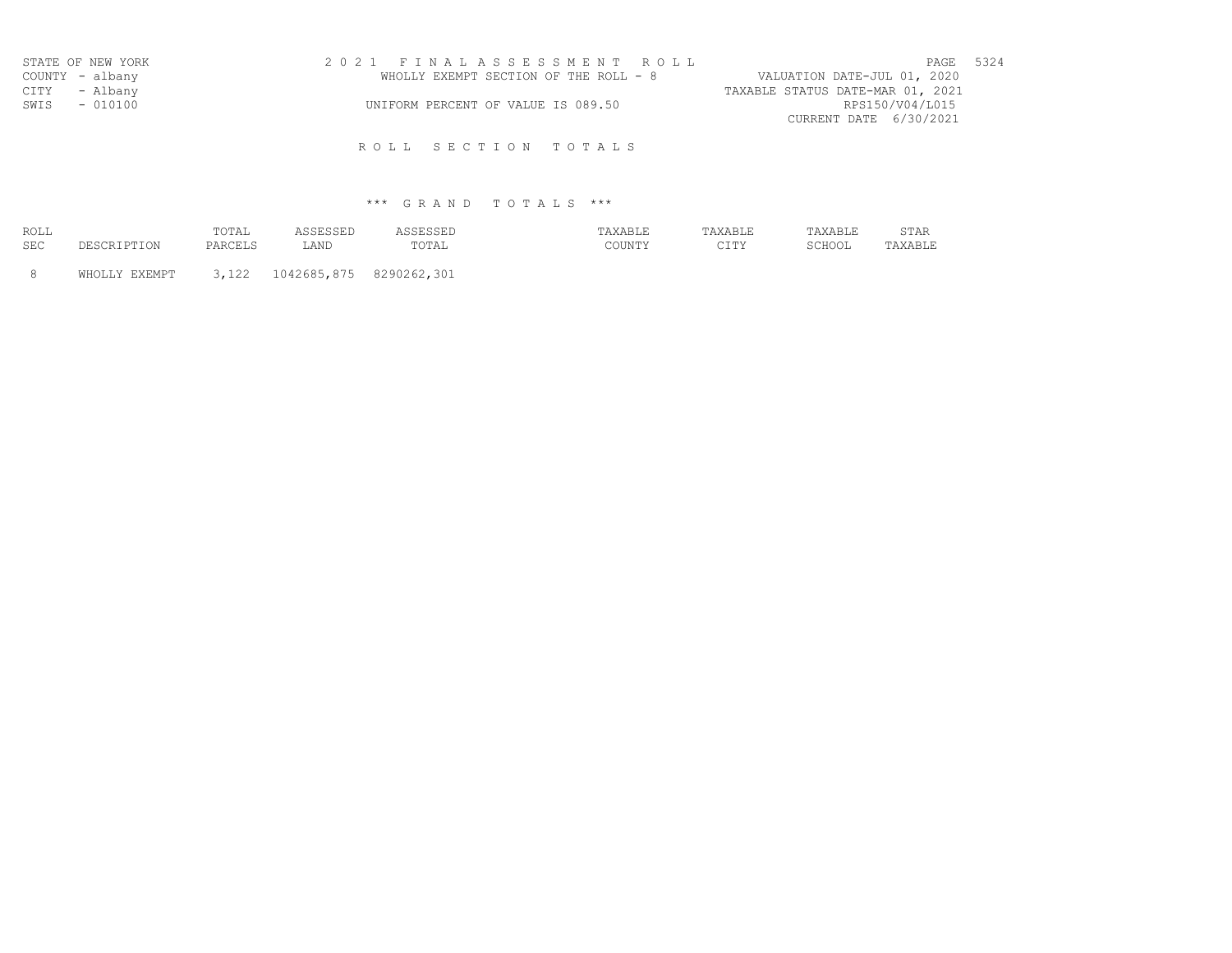|                 | STATE OF NEW YORK | 2021 FINALASSESSMENT ROLL                                            | PAGE | 5324 |
|-----------------|-------------------|----------------------------------------------------------------------|------|------|
| COUNTY - albany |                   | WHOLLY EXEMPT SECTION OF THE ROLL - 8<br>VALUATION DATE-JUL 01, 2020 |      |      |
| CITY - Albany   |                   | TAXABLE STATUS DATE-MAR 01, 2021                                     |      |      |
| SWIS - 010100   |                   | RPS150/V04/L015<br>UNIFORM PERCENT OF VALUE IS 089.50                |      |      |
|                 |                   | CURRENT DATE 6/30/2021                                               |      |      |

# \*\*\* G R A N D T O T A L S \*\*\*

| ROLL |             | TOTAL   | ASSESSED | ASSESSED | TAXABLE | TAXABLE         | TAXABLE | STAR    |
|------|-------------|---------|----------|----------|---------|-----------------|---------|---------|
| SEC  | DESCRIPTION | PARCELS | LAND     | TOTAL    | COUNTY  | ヘエホソ<br>- - - - | SCHOOL  | TAXABLE |

8 WHOLLY EXEMPT 3,122 1042685,875 8290262,301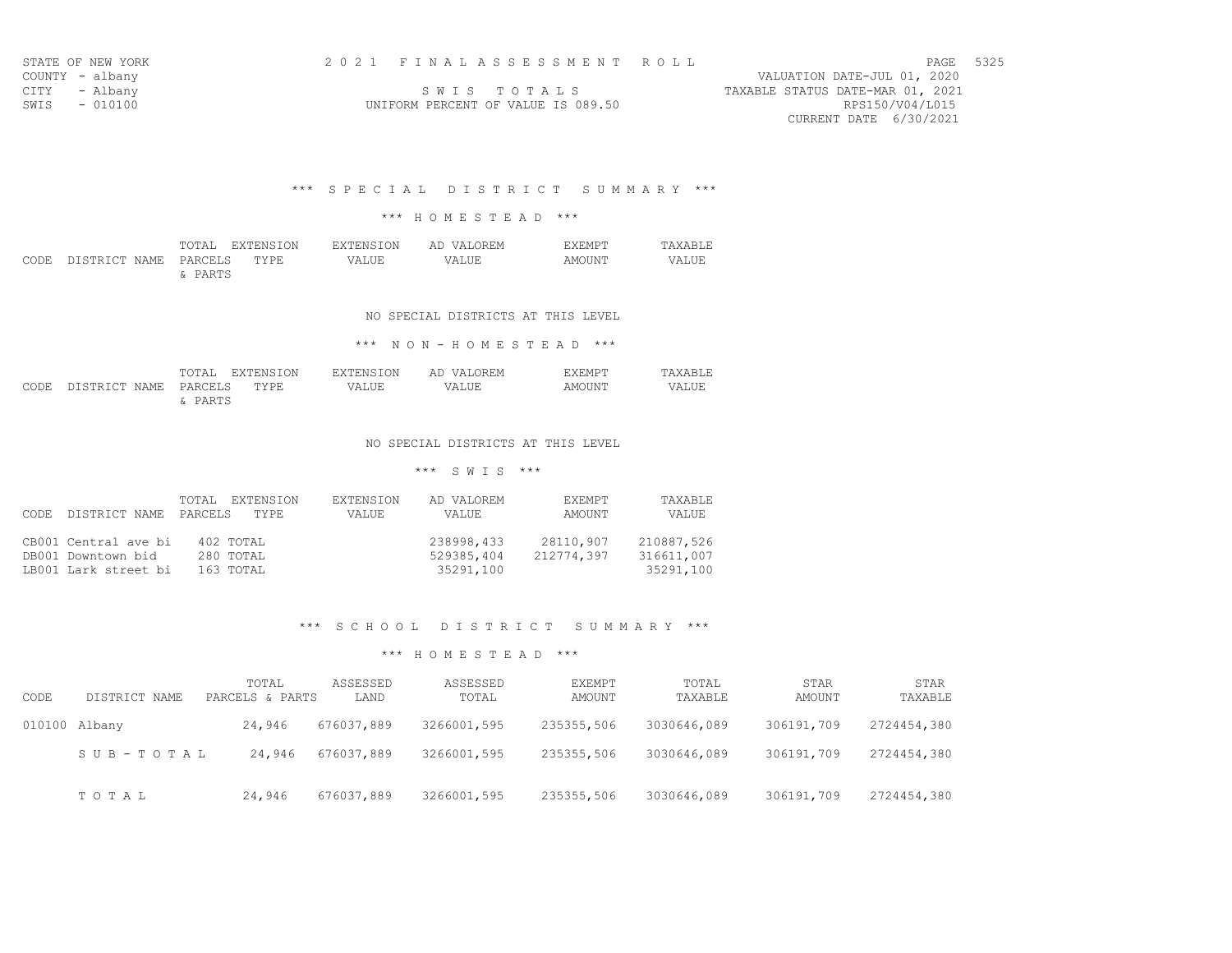| AGE | 32 |
|-----|----|
|     |    |

| SIAIP UP NPW TURN |           |  |
|-------------------|-----------|--|
| COUNTY            | - albany  |  |
| CTTY              | - Albany  |  |
| SWTS              | $-010100$ |  |

VALUATION DATE-JUL 01, 2020 S W I S T O T A L S TAXABLE STATUS DATE-MAR 01, 2021 UNIFORM PERCENT OF VALUE IS 089.50 RPS150/V04/L015 CURRENT DATE 6/30/2021

\*\*\* S P E C I A L D I S T R I C T S U M M A R Y \*\*\*

## \*\*\* H O M E S T E A D \*\*\*

|                                 |         | TOTAL EXTENSION | EXTENSION | AD VALOREM | <b>F.XEMPT</b> | <b>TAXABLE</b> |
|---------------------------------|---------|-----------------|-----------|------------|----------------|----------------|
| CODE DISTRICT NAME PARCELS TYPE |         |                 | VALUE     | VALUE      | AMOUNT         | VALUE          |
|                                 | & PARTS |                 |           |            |                |                |

### NO SPECIAL DISTRICTS AT THIS LEVEL

\*\*\* N O N - H O M E S T E A D \*\*\*

|                                 |         | TOTAL EXTENSION |       | EXTENSION AD VALOREM | <b>EXEMPT</b> | TAXABLE |
|---------------------------------|---------|-----------------|-------|----------------------|---------------|---------|
| CODE DISTRICT NAME PARCELS TYPE |         |                 | VALUE | VALUE                | AMOUNT        | VALUE   |
|                                 | & PARTS |                 |       |                      |               |         |

#### NO SPECIAL DISTRICTS AT THIS LEVEL

## \*\*\* S W I S \*\*\*

|       |                      | TOTAL EXTENSION | EXTENSION    | AD VALOREM | EXEMPT     | TAXABLE.   |
|-------|----------------------|-----------------|--------------|------------|------------|------------|
| CODE. | DISTRICT NAME        | PARCELS<br>TYPE | <b>VALUE</b> | VALUE      | AMOUNT     | VALUE      |
|       |                      |                 |              |            |            |            |
|       | CB001 Central ave bi | 402 TOTAL       |              | 238998,433 | 28110,907  | 210887,526 |
|       | DB001 Downtown bid   | 280 TOTAL       |              | 529385,404 | 212774,397 | 316611,007 |
|       | LB001 Lark street bi | 163 TOTAL       |              | 35291,100  |            | 35291,100  |

#### \*\*\* S C H O O L D I S T R I C T S U M M A R Y \*\*\*

| CODE          | DISTRICT NAME | TOTAL<br>PARCELS & PARTS | ASSESSED<br>LAND | ASSESSED<br>TOTAL | EXEMPT<br>AMOUNT | TOTAL<br>TAXABLE | STAR<br>AMOUNT | STAR<br>TAXABLE |
|---------------|---------------|--------------------------|------------------|-------------------|------------------|------------------|----------------|-----------------|
| 010100 Albany |               | 24,946                   | 676037,889       | 3266001,595       | 235355,506       | 3030646,089      | 306191,709     | 2724454,380     |
|               | SUB-TOTAL     | 24,946                   | 676037,889       | 3266001,595       | 235355,506       | 3030646,089      | 306191,709     | 2724454,380     |
|               | TOTAL         | 24,946                   | 676037,889       | 3266001,595       | 235355,506       | 3030646,089      | 306191,709     | 2724454,380     |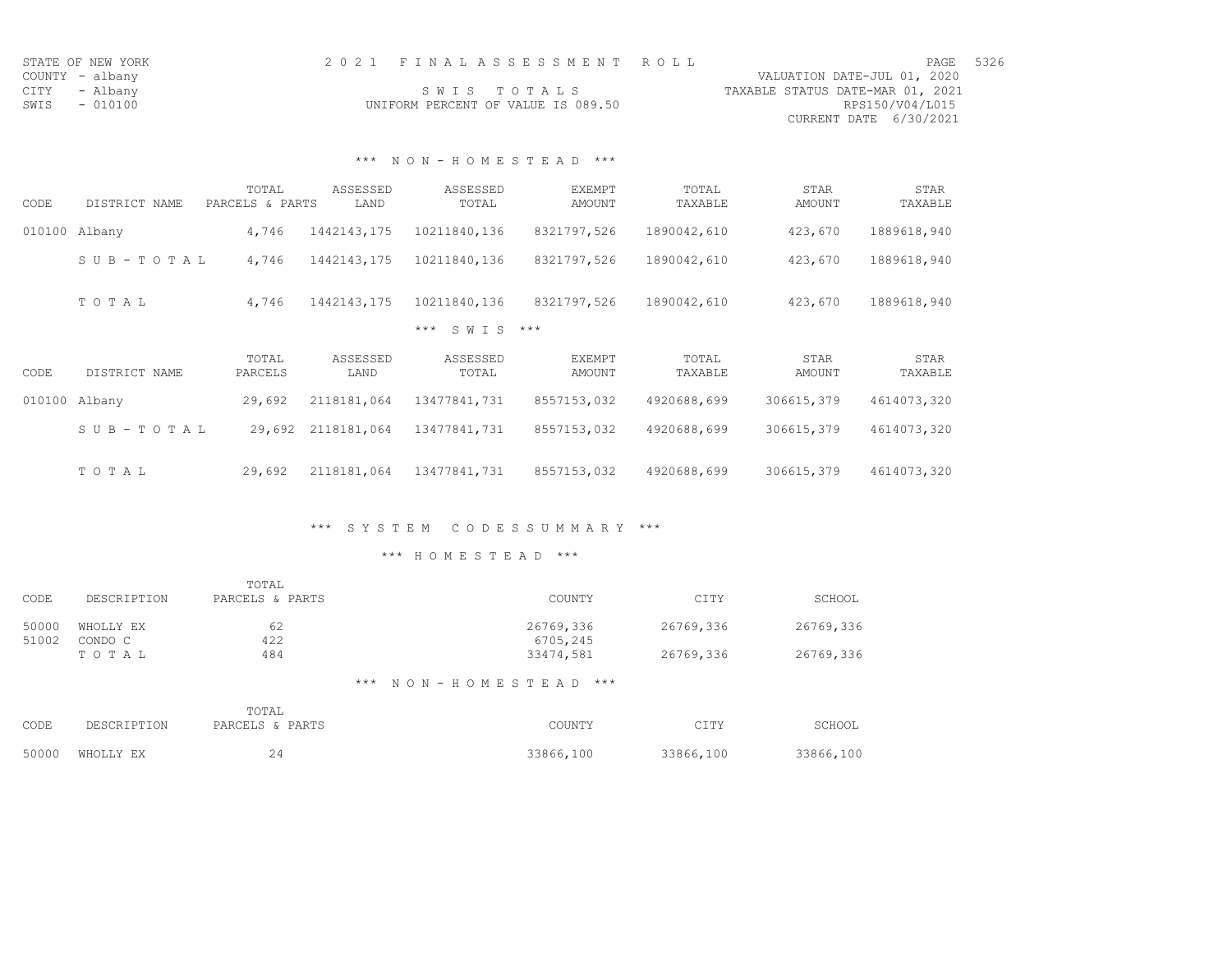| STATE OF NEW YORK | 2021 FINALASSESSMENT ROLL          | PAGE                             | 5326 |
|-------------------|------------------------------------|----------------------------------|------|
| COUNTY - albany   |                                    | VALUATION DATE-JUL 01, 2020      |      |
| CITY - Albany     | SWIS TOTALS                        | TAXABLE STATUS DATE-MAR 01, 2021 |      |
| SWIS<br>$-010100$ | UNIFORM PERCENT OF VALUE IS 089.50 | RPS150/V04/L015                  |      |
|                   |                                    | CURRENT DATE 6/30/2021           |      |

## \*\*\* N O N - H O M E S T E A D \*\*\*

|        |                       | TOTAL           | ASSESSED    | ASSESSED         | <b>EXEMPT</b> | TOTAL       | STAR       | STAR        |
|--------|-----------------------|-----------------|-------------|------------------|---------------|-------------|------------|-------------|
| CODE   | DISTRICT NAME         | PARCELS & PARTS | LAND        | TOTAL            | AMOUNT        | TAXABLE     | AMOUNT     | TAXABLE     |
| 010100 | Albany                | 4,746           | 1442143,175 | 10211840,136     | 8321797,526   | 1890042,610 | 423,670    | 1889618,940 |
|        | $S \cup B - TO T A L$ | 4,746           | 1442143,175 | 10211840,136     | 8321797,526   | 1890042,610 | 423,670    | 1889618,940 |
|        | TOTAL                 | 4,746           | 1442143,175 | 10211840,136     | 8321797,526   | 1890042,610 | 423,670    | 1889618,940 |
|        |                       |                 |             | S W T S<br>$***$ | $***$         |             |            |             |
|        |                       | TOTAL           | ASSESSED    | ASSESSED         | EXEMPT        | TOTAL       | STAR       | STAR        |
| CODE   | DISTRICT NAME         | PARCELS         | LAND        | TOTAL            | AMOUNT        | TAXABLE     | AMOUNT     | TAXABLE     |
| 010100 | Albany                | 29,692          | 2118181,064 | 13477841,731     | 8557153,032   | 4920688,699 | 306615,379 | 4614073,320 |
|        | SUB-TOTAL             | 29,692          | 2118181,064 | 13477841,731     | 8557153,032   | 4920688,699 | 306615,379 | 4614073,320 |
|        |                       |                 |             |                  |               |             |            |             |

## \*\*\* S Y S T E M C O D E S S U M M A R Y \*\*\*

| CODE           | DESCRIPTION          | TOTAL<br>PARCELS & PARTS | COUNTY                     | CITY      | SCHOOL    |
|----------------|----------------------|--------------------------|----------------------------|-----------|-----------|
| 50000<br>51002 | WHOLLY EX<br>CONDO C | 62<br>422                | 26769,336<br>6705,245      | 26769,336 | 26769,336 |
|                | TOTAL                | 484                      | 33474,581                  | 26769,336 | 26769,336 |
|                |                      |                          | *** NON-HOMESTEAD<br>$***$ |           |           |

|      |                 | TOTAL           |           |           |           |
|------|-----------------|-----------------|-----------|-----------|-----------|
| CODE | DESCRIPTION     | PARCELS & PARTS | COUNTY    | CITY      | SCHOOL    |
|      | 50000 WHOLLY EX | 24              | 33866,100 | 33866,100 | 33866,100 |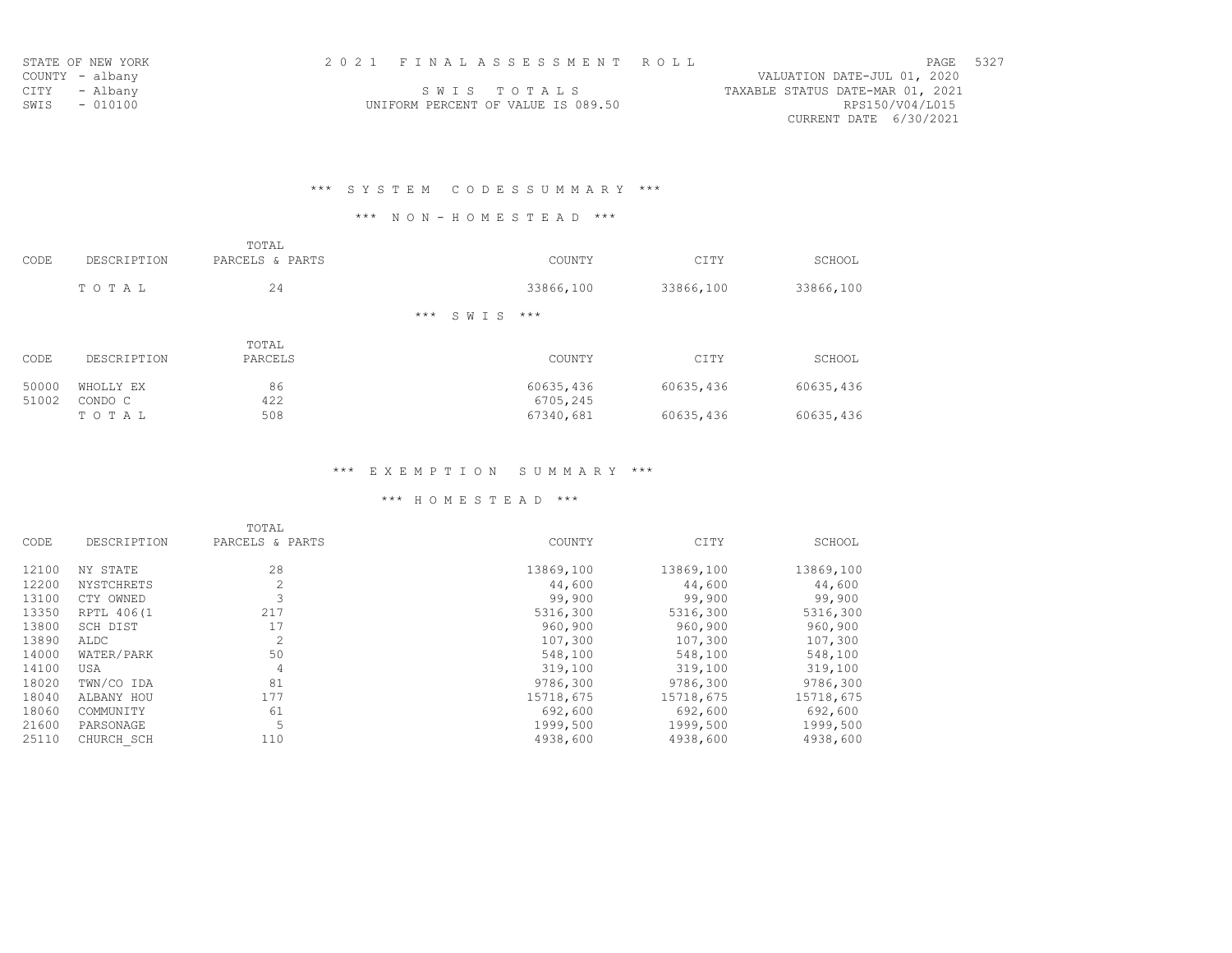| STATE OF NEW YORK | 2021 FINALASSESSMENT ROLL                             | PAGE | 5327 |
|-------------------|-------------------------------------------------------|------|------|
| COUNTY - albany   | VALUATION DATE-JUL 01, 2020                           |      |      |
| CITY - Albany     | TAXABLE STATUS DATE-MAR 01, 2021<br>SWIS TOTALS       |      |      |
| SWIS - 010100     | RPS150/V04/L015<br>UNIFORM PERCENT OF VALUE IS 089.50 |      |      |
|                   | CURRENT DATE 6/30/2021                                |      |      |

# \*\*\* S Y S T E M C O D E S S U M M A R Y \*\*\*

## \*\*\* N O N - H O M E S T E A D \*\*\*

| CODE           | DESCRIPTION          | TOTAL<br>PARCELS & PARTS | COUNTY                 | CITY      | SCHOOL    |
|----------------|----------------------|--------------------------|------------------------|-----------|-----------|
|                | TOTAL                | 24                       | 33866,100              | 33866,100 | 33866,100 |
|                |                      |                          | $***$<br>$***$<br>SWIS |           |           |
| CODE           | DESCRIPTION          | TOTAL<br>PARCELS         | COUNTY                 | CITY      | SCHOOL    |
| 50000<br>51002 | WHOLLY EX<br>CONDO C | 86<br>422                | 60635,436<br>6705,245  | 60635,436 | 60635,436 |
|                | TOTAL                | 508                      | 67340,681              | 60635,436 | 60635,436 |

## \*\*\* E X E M P T I O N S U M M A R Y \*\*\*

|       |             | TOTAL           |           |           |           |
|-------|-------------|-----------------|-----------|-----------|-----------|
| CODE  | DESCRIPTION | PARCELS & PARTS | COUNTY    | CITY      | SCHOOL    |
| 12100 | NY STATE    | 28              | 13869,100 | 13869,100 | 13869,100 |
| 12200 | NYSTCHRETS  | 2               | 44,600    | 44,600    | 44,600    |
| 13100 | CTY OWNED   |                 | 99,900    | 99,900    | 99,900    |
| 13350 | RPTL 406(1  | 217             | 5316,300  | 5316,300  | 5316,300  |
| 13800 | SCH DIST    | 17              | 960,900   | 960,900   | 960,900   |
| 13890 | ALDC        | $\overline{c}$  | 107,300   | 107,300   | 107,300   |
| 14000 | WATER/PARK  | 50              | 548,100   | 548,100   | 548,100   |
| 14100 | USA         | 4               | 319,100   | 319,100   | 319,100   |
| 18020 | TWN/CO IDA  | 81              | 9786,300  | 9786,300  | 9786,300  |
| 18040 | ALBANY HOU  | 177             | 15718,675 | 15718,675 | 15718,675 |
| 18060 | COMMUNITY   | 61              | 692,600   | 692,600   | 692,600   |
| 21600 | PARSONAGE   | 5               | 1999,500  | 1999,500  | 1999,500  |
| 25110 | CHURCH SCH  | 110             | 4938,600  | 4938,600  | 4938,600  |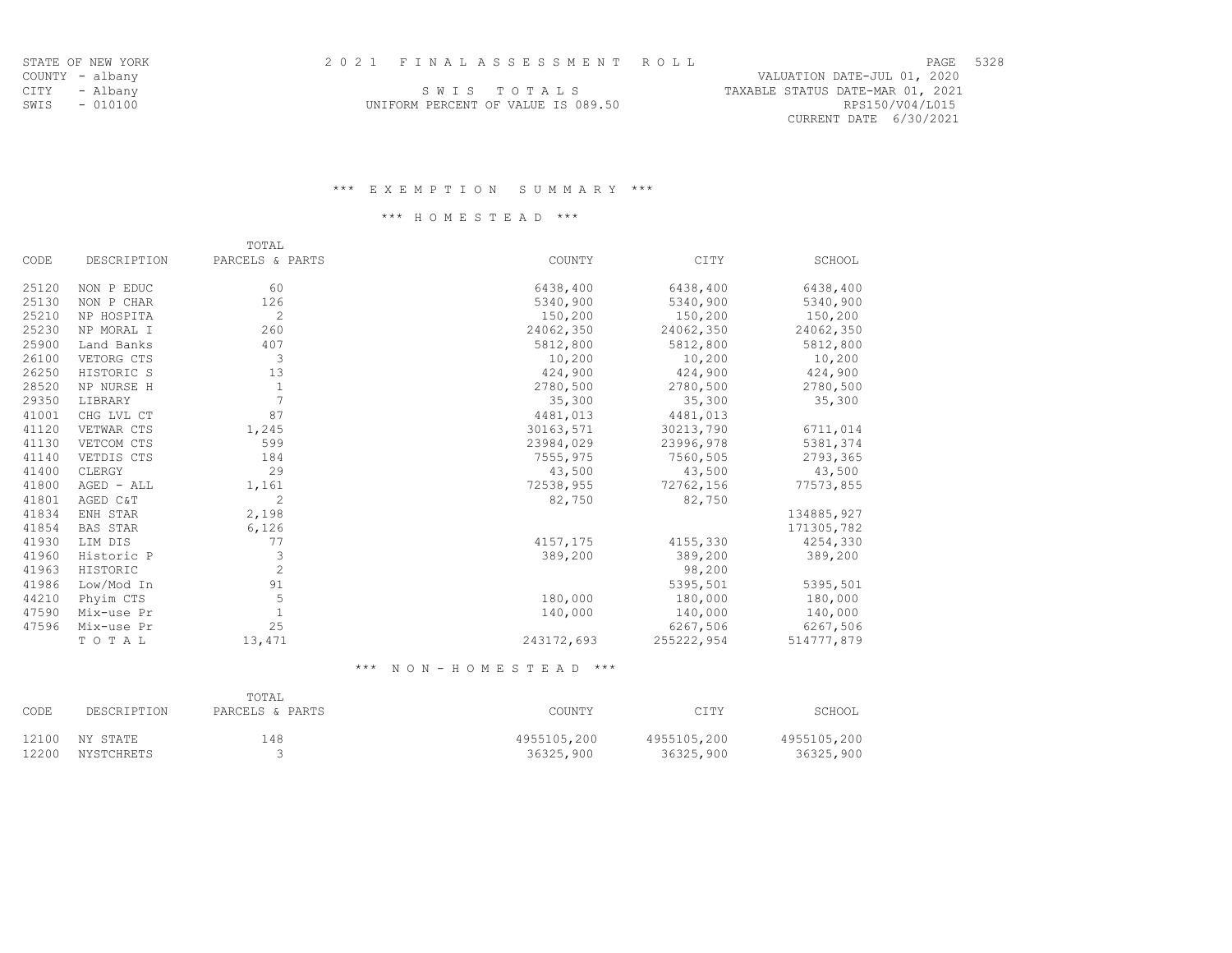| םי  | ר ר |
|-----|-----|
| тг. | 34  |
|     |     |

TAXABLE STATUS DATE-MAR 01, 2021<br>RPS150/V04/L015

CURRENT DATE 6/30/2021

|                                    |  |  | SWIS TOTALS |  |  |  |
|------------------------------------|--|--|-------------|--|--|--|
| UNIFORM PERCENT OF VALUE IS 089.50 |  |  |             |  |  |  |

### \*\*\* E X E M P T I O N S U M M A R Y \*\*\*

### \*\*\* H O M E S T E A D \*\*\*

|       |                 | TOTAL           |            |            |            |
|-------|-----------------|-----------------|------------|------------|------------|
| CODE  | DESCRIPTION     | PARCELS & PARTS | COUNTY     | CITY       | SCHOOL     |
| 25120 | NON P EDUC      | 60              | 6438,400   | 6438,400   | 6438,400   |
| 25130 | NON P CHAR      | 126             | 5340,900   | 5340,900   | 5340,900   |
| 25210 | NP HOSPITA      | $\overline{c}$  | 150,200    | 150,200    | 150,200    |
| 25230 | NP MORAL I      | 260             | 24062,350  | 24062,350  | 24062,350  |
| 25900 | Land Banks      | 407             | 5812,800   | 5812,800   | 5812,800   |
| 26100 | VETORG CTS      | 3               | 10,200     | 10,200     | 10,200     |
| 26250 | HISTORIC S      | 13              | 424,900    | 424,900    | 424,900    |
| 28520 | NP NURSE H      | $\mathbf{1}$    | 2780,500   | 2780,500   | 2780,500   |
| 29350 | LIBRARY         | $\overline{7}$  | 35,300     | 35,300     | 35,300     |
| 41001 | CHG LVL CT      | 87              | 4481,013   | 4481,013   |            |
| 41120 | VETWAR CTS      | 1,245           | 30163,571  | 30213,790  | 6711,014   |
| 41130 | VETCOM CTS      | 599             | 23984,029  | 23996,978  | 5381,374   |
| 41140 | VETDIS CTS      | 184             | 7555,975   | 7560,505   | 2793,365   |
| 41400 | CLERGY          | 29              | 43,500     | 43,500     | 43,500     |
| 41800 | AGED - ALL      | 1,161           | 72538,955  | 72762,156  | 77573,855  |
| 41801 | AGED C&T        | $\overline{c}$  | 82,750     | 82,750     |            |
| 41834 | ENH STAR        | 2,198           |            |            | 134885,927 |
| 41854 | <b>BAS STAR</b> | 6,126           |            |            | 171305,782 |
| 41930 | LIM DIS         | 77              | 4157,175   | 4155,330   | 4254,330   |
| 41960 | Historic P      | 3               | 389,200    | 389,200    | 389,200    |
| 41963 | HISTORIC        | $\overline{c}$  |            | 98,200     |            |
| 41986 | Low/Mod In      | 91              |            | 5395,501   | 5395,501   |
| 44210 | Phyim CTS       | 5               | 180,000    | 180,000    | 180,000    |
| 47590 | Mix-use Pr      | 1               | 140,000    | 140,000    | 140,000    |
| 47596 | Mix-use Pr      | 25              |            | 6267,506   | 6267,506   |
|       | TOTAL           | 13,471          | 243172,693 | 255222,954 | 514777,879 |

\*\*\* N O N - H O M E S T E A D \*\*\*

| CODE  | DESCRIPTION | TOTAL<br>PARCELS & PARTS | COUNTY      | CITY        | SCHOOL      |
|-------|-------------|--------------------------|-------------|-------------|-------------|
| 12100 | NY STATE    | 148                      | 4955105,200 | 4955105,200 | 4955105,200 |
| 12200 | NYSTCHRETS  |                          | 36325,900   | 36325,900   | 36325,900   |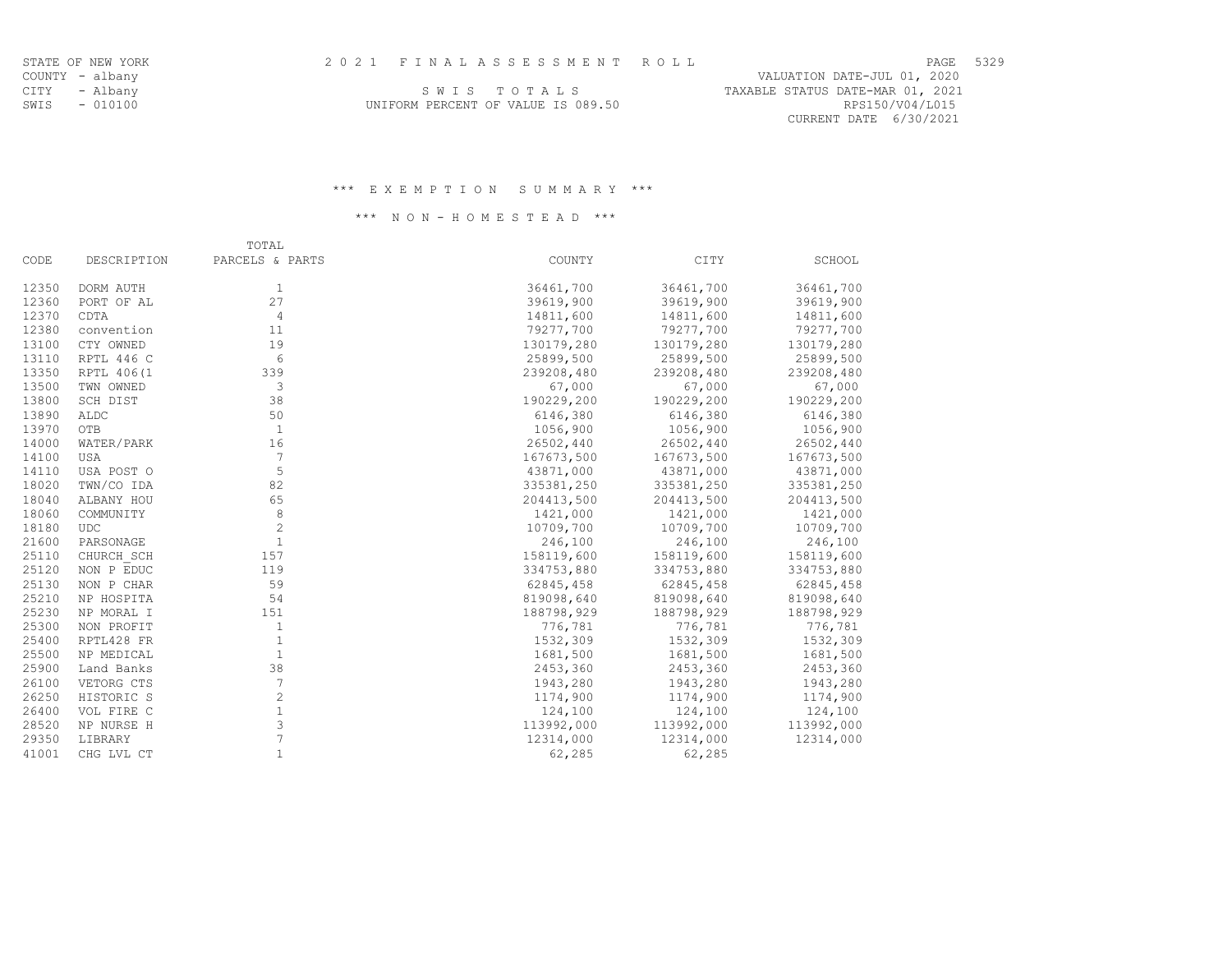|                                 |  | PAGE 5329 |  |
|---------------------------------|--|-----------|--|
| VALUATION DATE-JUL 01, 2020     |  |           |  |
| ------- ------ ---- --- ^* ^^^* |  |           |  |

RPS150/V04/L015<br>CURRENT DATE 6/30/2021

CITY - Albany SWISTOTALS SALLS TO TALS SWIS - 010100 CONSTRUCTED TO MAKE UNIFORM PERCENT OF VALUE IS 089.50 CONSTRUCTED A RPS150/V04/L015

#### \*\*\* E X E M P T I O N S U M M A R Y \*\*\*

### \*\*\* N O N - H O M E S T E A D \*\*\*

|             | TOTAL           |            |            |            |
|-------------|-----------------|------------|------------|------------|
| DESCRIPTION | PARCELS & PARTS | COUNTY     | CITY       | SCHOOL     |
| DORM AUTH   | 1               | 36461,700  | 36461,700  | 36461,700  |
| PORT OF AL  | 27              | 39619,900  | 39619,900  | 39619,900  |
| CDTA        | $\overline{4}$  | 14811,600  | 14811,600  | 14811,600  |
| convention  | 11              | 79277,700  | 79277,700  | 79277,700  |
| CTY OWNED   | 19              | 130179,280 | 130179,280 | 130179,280 |
| RPTL 446 C  | 6               | 25899,500  | 25899,500  | 25899,500  |
| RPTL 406(1  | 339             | 239208,480 | 239208,480 | 239208,480 |
| TWN OWNED   | 3               | 67,000     | 67,000     | 67,000     |
| SCH DIST    | 38              | 190229,200 | 190229,200 | 190229,200 |
| ALDC        | 50              | 6146,380   | 6146,380   | 6146,380   |
| OTB         | $\overline{1}$  | 1056,900   | 1056,900   | 1056,900   |
| WATER/PARK  | 16              | 26502,440  | 26502,440  | 26502,440  |
| <b>USA</b>  | 7               | 167673,500 | 167673,500 | 167673,500 |
| USA POST O  | 5               | 43871,000  | 43871,000  | 43871,000  |
| TWN/CO IDA  | 82              | 335381,250 | 335381,250 | 335381,250 |
| ALBANY HOU  | 65              | 204413,500 | 204413,500 | 204413,500 |
| COMMUNITY   | 8               | 1421,000   | 1421,000   | 1421,000   |
| <b>UDC</b>  | $\overline{c}$  | 10709,700  | 10709,700  | 10709,700  |
| PARSONAGE   | $\mathbf{1}$    | 246,100    | 246,100    | 246,100    |
| CHURCH SCH  | 157             | 158119,600 | 158119,600 | 158119,600 |
| NON P EDUC  | 119             | 334753,880 | 334753,880 | 334753,880 |
| NON P CHAR  | 59              | 62845,458  | 62845,458  | 62845,458  |
| NP HOSPITA  | 54              | 819098,640 | 819098,640 | 819098,640 |
| NP MORAL I  | 151             | 188798,929 | 188798,929 | 188798,929 |
| NON PROFIT  | 1               | 776,781    | 776,781    | 776,781    |
| RPTL428 FR  | $\mathbf{1}$    | 1532,309   | 1532,309   | 1532,309   |
| NP MEDICAL  | $\mathbf{1}$    | 1681,500   | 1681,500   | 1681,500   |
| Land Banks  | 38              | 2453,360   | 2453,360   | 2453,360   |
| VETORG CTS  | $7\phantom{.0}$ | 1943,280   | 1943,280   | 1943,280   |
| HISTORIC S  | 2               | 1174,900   | 1174,900   | 1174,900   |
| VOL FIRE C  | $1\,$           | 124,100    | 124,100    | 124,100    |
| NP NURSE H  | 3               | 113992,000 | 113992,000 | 113992,000 |
| LIBRARY     | 7               | 12314,000  | 12314,000  | 12314,000  |
| CHG LVL CT  | $\mathbf{1}$    | 62,285     | 62,285     |            |
|             |                 |            |            |            |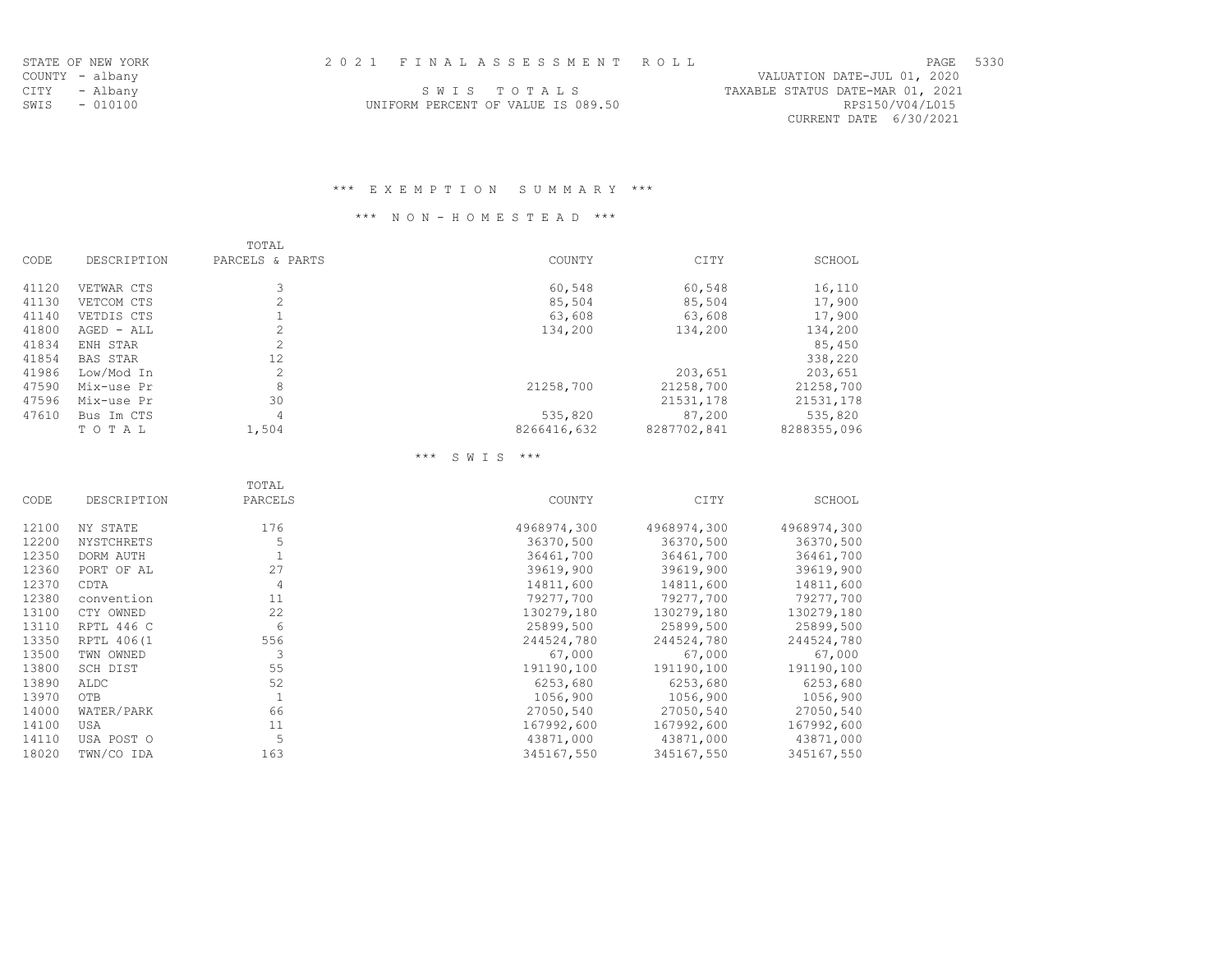| パード | Ω<br>. . |
|-----|----------|
|     |          |

| CITY - Albany | SWIS TOTALS                        | TAXABLE STATUS DATE-MAR 01, 2021 |
|---------------|------------------------------------|----------------------------------|
| SWIS - 010100 | UNIFORM PERCENT OF VALUE IS 089.50 | RPS150/V04/L015                  |
|               |                                    | CURRENT DATE 6/30/2021           |

### \*\*\* E X E M P T I O N S U M M A R Y \*\*\*

## \*\*\* N O N - H O M E S T E A D \*\*\*

|       |                 | TOTAL           |             |             |             |
|-------|-----------------|-----------------|-------------|-------------|-------------|
| CODE  | DESCRIPTION     | PARCELS & PARTS | COUNTY      | CITY        | SCHOOL      |
| 41120 | VETWAR CTS      | 3               | 60,548      | 60,548      | 16,110      |
| 41130 | VETCOM CTS      | $\overline{2}$  | 85,504      | 85,504      | 17,900      |
| 41140 | VETDIS CTS      |                 | 63,608      | 63,608      | 17,900      |
| 41800 | AGED - ALL      | $\overline{2}$  | 134,200     | 134,200     | 134,200     |
| 41834 | ENH STAR        | $\overline{2}$  |             |             | 85,450      |
| 41854 | <b>BAS STAR</b> | 12              |             |             | 338,220     |
| 41986 | Low/Mod In      | $\overline{2}$  |             | 203,651     | 203,651     |
| 47590 | Mix-use Pr      | 8               | 21258,700   | 21258,700   | 21258,700   |
| 47596 | Mix-use Pr      | 30              |             | 21531,178   | 21531,178   |
| 47610 | Bus Im CTS      | 4               | 535,820     | 87,200      | 535,820     |
|       | TOTAL           | 1,504           | 8266416,632 | 8287702,841 | 8288355,096 |

### \*\*\* S W I S \*\*\*

|       |             | TOTAL   |             |             |             |
|-------|-------------|---------|-------------|-------------|-------------|
| CODE  | DESCRIPTION | PARCELS | COUNTY      | CITY        | SCHOOL      |
| 12100 | NY STATE    | 176     | 4968974,300 | 4968974,300 | 4968974,300 |
| 12200 | NYSTCHRETS  |         | 36370,500   | 36370,500   | 36370,500   |
| 12350 | DORM AUTH   |         | 36461,700   | 36461,700   | 36461,700   |
| 12360 | PORT OF AL  | 27      | 39619,900   | 39619,900   | 39619,900   |
| 12370 | CDTA        | 4       | 14811,600   | 14811,600   | 14811,600   |
| 12380 | convention  | 11      | 79277,700   | 79277,700   | 79277,700   |
| 13100 | CTY OWNED   | 22      | 130279,180  | 130279,180  | 130279,180  |
| 13110 | RPTL 446 C  | 6       | 25899,500   | 25899,500   | 25899,500   |
| 13350 | RPTL 406(1  | 556     | 244524,780  | 244524,780  | 244524,780  |
| 13500 | TWN OWNED   |         | 67,000      | 67,000      | 67,000      |
| 13800 | SCH DIST    | 55      | 191190,100  | 191190,100  | 191190,100  |
| 13890 | ALDC        | 52      | 6253,680    | 6253,680    | 6253,680    |
| 13970 | <b>OTB</b>  |         | 1056,900    | 1056,900    | 1056,900    |
| 14000 | WATER/PARK  | 66      | 27050,540   | 27050,540   | 27050,540   |
| 14100 | USA         | 11      | 167992,600  | 167992,600  | 167992,600  |
| 14110 | USA POST O  | 5       | 43871,000   | 43871,000   | 43871,000   |
| 18020 | TWN/CO IDA  | 163     | 345167,550  | 345167,550  | 345167,550  |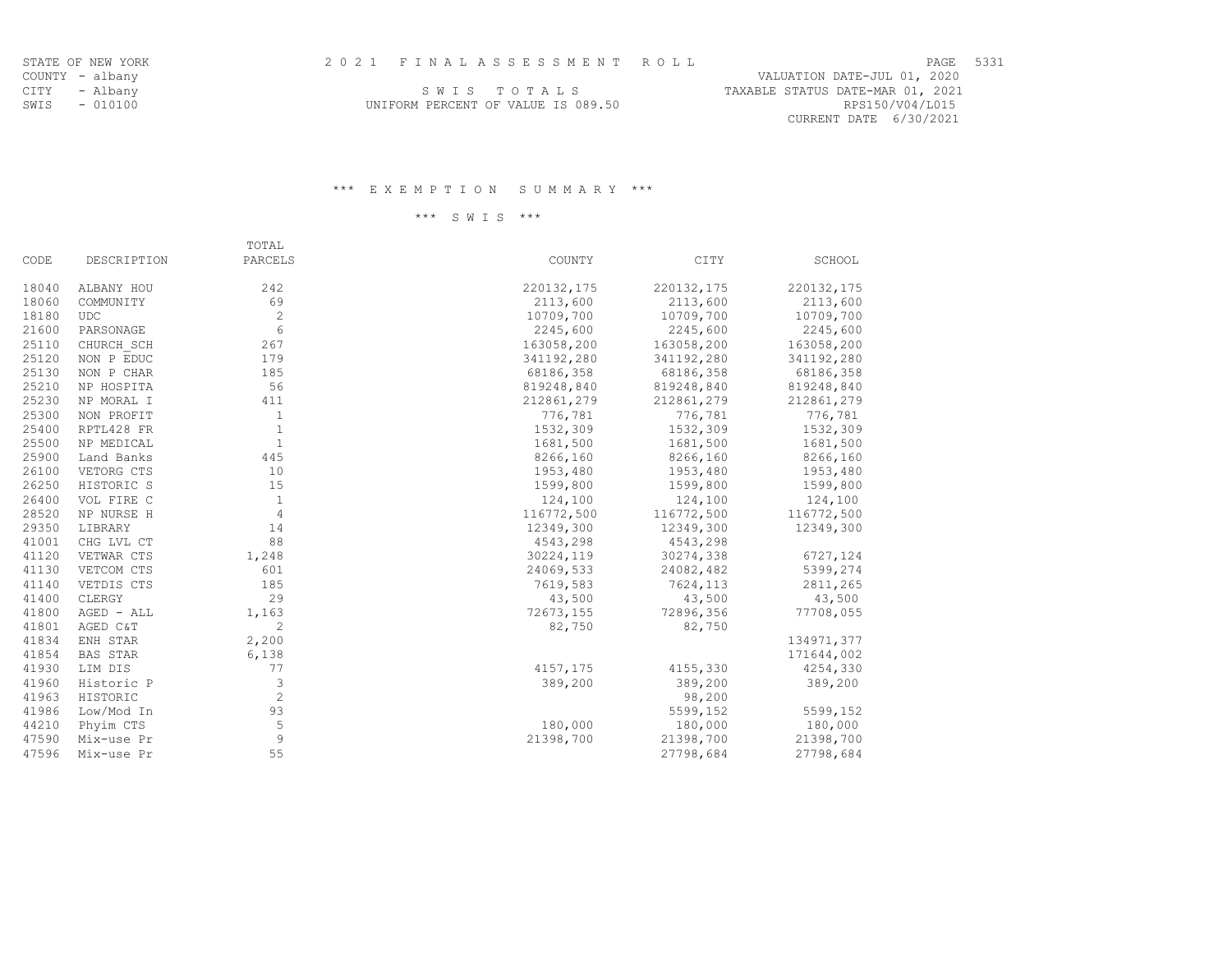RPS150/V04/L015 CURRENT DATE 6/30/2021

| CITY | - Albany      | SWIS TOTALS                        | TAXABLE STATUS DATE-MAR 01, 2021 |
|------|---------------|------------------------------------|----------------------------------|
|      | SWIS - 010100 | UNIFORM PERCENT OF VALUE IS 089.50 | RPS150/V04/L015                  |

### \*\*\* E X E M P T I O N S U M M A R Y \*\*\*

\*\*\* S W I S \*\*\*

|       |                 | TOTAL        |            |            |            |
|-------|-----------------|--------------|------------|------------|------------|
| CODE  | DESCRIPTION     | PARCELS      | COUNTY     | CITY       | SCHOOL     |
| 18040 | ALBANY HOU      | 242          | 220132,175 | 220132,175 | 220132,175 |
| 18060 | COMMUNITY       | 69           | 2113,600   | 2113,600   | 2113,600   |
| 18180 | <b>UDC</b>      | 2            | 10709,700  | 10709,700  | 10709,700  |
| 21600 | PARSONAGE       | 6            | 2245,600   | 2245,600   | 2245,600   |
| 25110 | CHURCH SCH      | 267          | 163058,200 | 163058,200 | 163058,200 |
| 25120 | NON P EDUC      | 179          | 341192,280 | 341192,280 | 341192,280 |
| 25130 | NON P CHAR      | 185          | 68186,358  | 68186,358  | 68186,358  |
| 25210 | NP HOSPITA      | 56           | 819248,840 | 819248,840 | 819248,840 |
| 25230 | NP MORAL I      | 411          | 212861,279 | 212861,279 | 212861,279 |
| 25300 | NON PROFIT      | 1            | 776,781    | 776,781    | 776,781    |
| 25400 | RPTL428 FR      | $\mathbf{1}$ | 1532,309   | 1532,309   | 1532,309   |
| 25500 | NP MEDICAL      | $\mathbf{1}$ | 1681,500   | 1681,500   | 1681,500   |
| 25900 | Land Banks      | 445          | 8266,160   | 8266,160   | 8266,160   |
| 26100 | VETORG CTS      | 10           | 1953,480   | 1953,480   | 1953,480   |
| 26250 | HISTORIC S      | 15           | 1599,800   | 1599,800   | 1599,800   |
| 26400 | VOL FIRE C      | $\mathbf{1}$ | 124,100    | 124,100    | 124,100    |
| 28520 | NP NURSE H      | 4            | 116772,500 | 116772,500 | 116772,500 |
| 29350 | LIBRARY         | 14           | 12349,300  | 12349,300  | 12349,300  |
| 41001 | CHG LVL CT      | 88           | 4543,298   | 4543,298   |            |
| 41120 | VETWAR CTS      | 1,248        | 30224,119  | 30274,338  | 6727,124   |
| 41130 | VETCOM CTS      | 601          | 24069,533  | 24082,482  | 5399,274   |
| 41140 | VETDIS CTS      | 185          | 7619,583   | 7624,113   | 2811,265   |
| 41400 | CLERGY          | 29           | 43,500     | 43,500     | 43,500     |
| 41800 | AGED - ALL      | 1,163        | 72673,155  | 72896,356  | 77708,055  |
| 41801 | AGED C&T        | 2            | 82,750     | 82,750     |            |
| 41834 | ENH STAR        | 2,200        |            |            | 134971,377 |
| 41854 | <b>BAS STAR</b> | 6,138        |            |            | 171644,002 |
| 41930 | LIM DIS         | 77           | 4157, 175  | 4155,330   | 4254,330   |
| 41960 | Historic P      | 3            | 389,200    | 389,200    | 389,200    |
| 41963 | HISTORIC        | 2            |            | 98,200     |            |
| 41986 | Low/Mod In      | 93           |            | 5599,152   | 5599,152   |
| 44210 | Phyim CTS       | 5            | 180,000    | 180,000    | 180,000    |
| 47590 | Mix-use Pr      | 9            | 21398,700  | 21398,700  | 21398,700  |
| 47596 | Mix-use Pr      | 55           |            | 27798,684  | 27798,684  |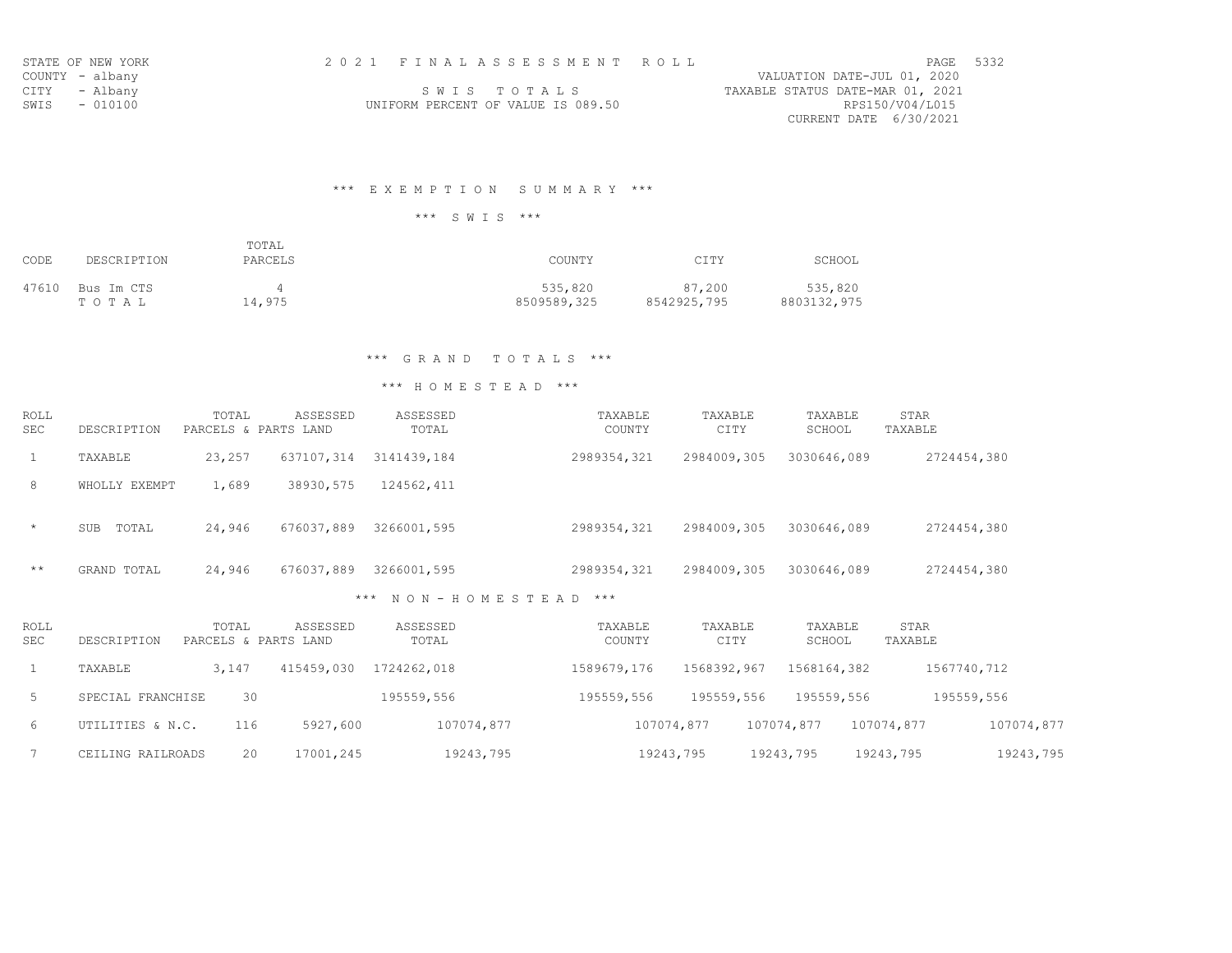| STATE OF NEW YORK |  | 2021 FINALASSESSMENT ROLL          |                                  | PAGE 5332 |  |
|-------------------|--|------------------------------------|----------------------------------|-----------|--|
| COUNTY - albany   |  |                                    | VALUATION DATE-JUL 01, 2020      |           |  |
| CITY - Albanv     |  | SWIS TOTALS                        | TAXABLE STATUS DATE-MAR 01, 2021 |           |  |
| SWIS - 010100     |  | UNIFORM PERCENT OF VALUE IS 089.50 | RPS150/V04/L015                  |           |  |
|                   |  |                                    | CURRENT DATE 6/30/2021           |           |  |

# \*\*\* E X E M P T I O N S U M M A R Y \*\*\*

\*\*\* S W I S \*\*\*

| CODE  | DESCRIPTION         | TOTAL<br>PARCELS | COUNTY                 | CITY                  | SCHOOL                 |
|-------|---------------------|------------------|------------------------|-----------------------|------------------------|
| 47610 | Bus Im CTS<br>TOTAL | 14,975           | 535,820<br>8509589,325 | 87,200<br>8542925,795 | 535,820<br>8803132,975 |

# \*\*\* G R A N D T O T A L S \*\*\*

| ROLL<br><b>SEC</b> | DESCRIPTION         | TOTAL<br>PARCELS & PARTS LAND | ASSESSED   | ASSESSED<br>TOTAL |               | TAXABLE<br>COUNTY | TAXABLE<br>CITY | TAXABLE<br>SCHOOL | STAR<br>TAXABLE |
|--------------------|---------------------|-------------------------------|------------|-------------------|---------------|-------------------|-----------------|-------------------|-----------------|
| 1                  | TAXABLE             | 23,257                        | 637107,314 | 3141439,184       |               | 2989354,321       | 2984009,305     | 3030646,089       | 2724454,380     |
| 8                  | WHOLLY EXEMPT       | 1,689                         | 38930,575  | 124562,411        |               |                   |                 |                   |                 |
| $\star$            | TOTAL<br><b>SUB</b> | 24,946                        | 676037,889 | 3266001,595       |               | 2989354,321       | 2984009,305     | 3030646,089       | 2724454,380     |
| $+ +$              | GRAND TOTAL         | 24,946                        | 676037,889 | 3266001,595       |               | 2989354,321       | 2984009,305     | 3030646,089       | 2724454,380     |
|                    |                     |                               |            | $***$             | NON-HOMESTEAD | $***$             |                 |                   |                 |

| <b>ROLL</b><br><b>SEC</b> | DESCRIPTION       | TOTAL<br>PARCELS & PARTS LAND | ASSESSED   | ASSESSED<br>TOTAL | TAXABLE<br>COUNTY | TAXABLE<br>CITY | TAXABLE<br>SCHOOL | STAR<br>TAXABLE          |  |
|---------------------------|-------------------|-------------------------------|------------|-------------------|-------------------|-----------------|-------------------|--------------------------|--|
|                           | TAXABLE           | 3,147                         | 415459,030 | 1724262,018       | 1589679,176       | 1568392,967     | 1568164,382       | 1567740,712              |  |
| 5                         | SPECIAL FRANCHISE | 30                            |            | 195559,556        | 195559,556        | 195559,556      | 195559,556        | 195559,556               |  |
| 6                         | UTILITIES & N.C.  | 116                           | 5927,600   | 107074,877        |                   | 107074,877      | 107074,877        | 107074,877<br>107074,877 |  |
|                           | CEILING RAILROADS | 20                            | 17001,245  | 19243,795         |                   | 19243,795       | 19243,795         | 19243,795<br>19243,795   |  |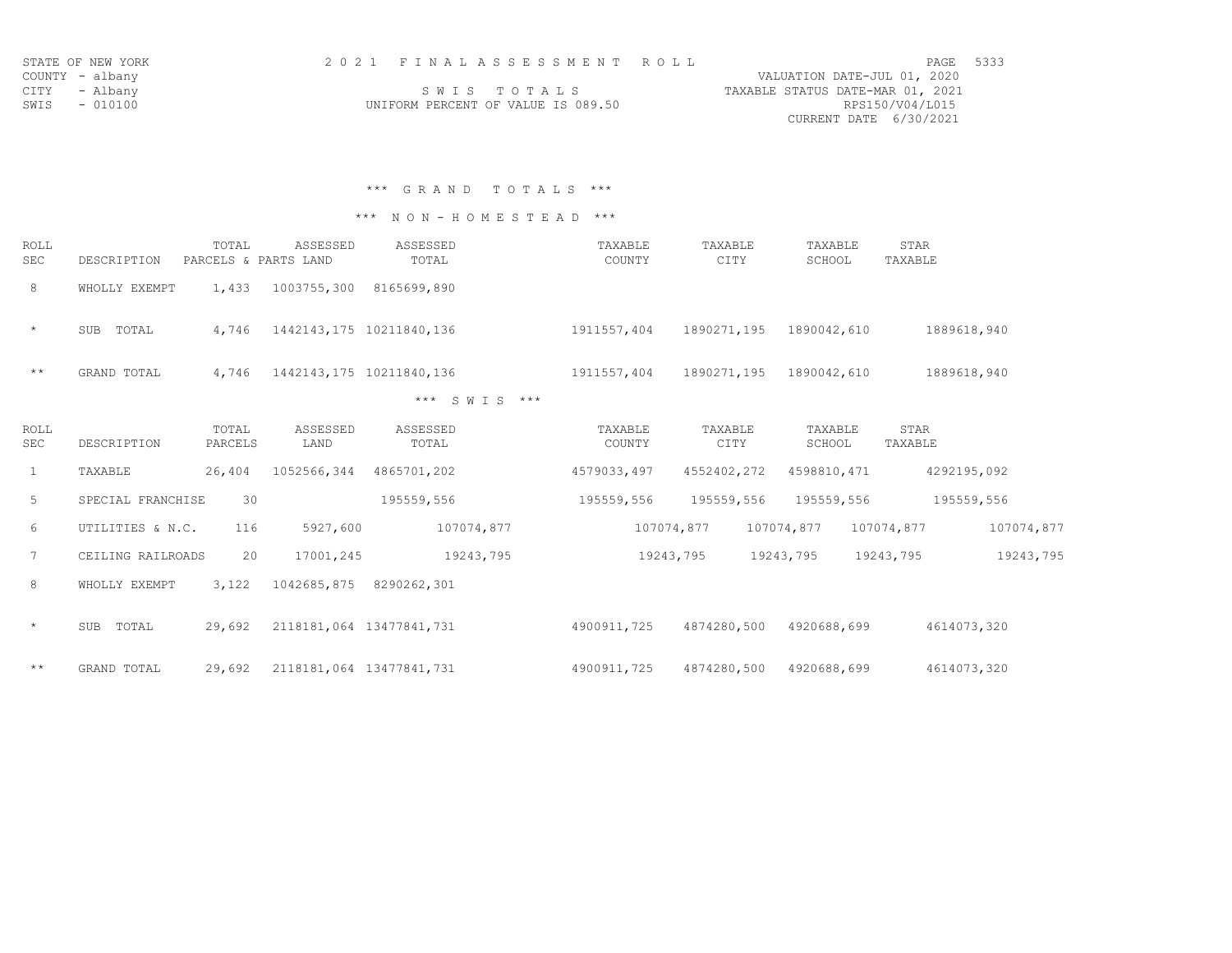| STATE OF NEW YORK | 2021 FINALASSESSMENT ROLL          | PAGE 5333                        |
|-------------------|------------------------------------|----------------------------------|
| COUNTY - albany   |                                    | VALUATION DATE-JUL 01, 2020      |
| CITY - Albany     | SWIS TOTALS                        | TAXABLE STATUS DATE-MAR 01, 2021 |
| SWIS - 010100     | UNIFORM PERCENT OF VALUE IS 089.50 | RPS150/V04/L015                  |
|                   |                                    | CURRENT DATE 6/30/2021           |

\*\*\* G R A N D T O T A L S \*\*\*

\*\*\* N O N - H O M E S T E A D \*\*\*

| ROLL<br>SEC | DESCRIPTION   | TOTAL<br>PARCELS & PARTS LAND | ASSESSED    | ASSESSED<br>TOTAL        | TAXABLE<br>COUNTY | TAXABLE<br>CITY | TAXABLE<br>SCHOOL | STAR<br>TAXABLE |
|-------------|---------------|-------------------------------|-------------|--------------------------|-------------------|-----------------|-------------------|-----------------|
| 8           | WHOLLY EXEMPT | 1,433                         | 1003755,300 | 8165699,890              |                   |                 |                   |                 |
| $\star$     | TOTAL<br>SUB  | 4,746                         |             | 1442143,175 10211840,136 | 1911557,404       | 1890271,195     | 1890042,610       | 1889618,940     |
| $***$       | GRAND TOTAL   | 4,746                         |             | 1442143,175 10211840,136 | 1911557,404       | 1890271,195     | 1890042,610       | 1889618,940     |

\*\*\* S W I S \*\*\*

| ROLL<br>SEC     | DESCRIPTION       | TOTAL<br>PARCELS | ASSESSED<br>LAND         | ASSESSED<br>TOTAL | TAXABLE<br>COUNTY | TAXABLE<br>CITY | TAXABLE<br>SCHOOL | STAR<br>TAXABLE |             |
|-----------------|-------------------|------------------|--------------------------|-------------------|-------------------|-----------------|-------------------|-----------------|-------------|
| $\mathbf{1}$    | TAXABLE           | 26,404           | 1052566,344              | 4865701,202       | 4579033,497       | 4552402,272     | 4598810, 471      |                 | 4292195,092 |
| 5               | SPECIAL FRANCHISE | 30               |                          | 195559,556        | 195559,556        | 195559,556      | 195559,556        |                 | 195559,556  |
| 6               | UTILITIES & N.C.  | 116              | 5927,600                 | 107074,877        | 107074,877        |                 | 107074,877        | 107074,877      | 107074,877  |
| $7\phantom{.0}$ | CEILING RAILROADS | 20               | 17001,245                | 19243,795         | 19243,795         |                 | 19243,795         | 19243,795       | 19243,795   |
| 8               | WHOLLY EXEMPT     | 3,122            | 1042685,875              | 8290262,301       |                   |                 |                   |                 |             |
| $\star$         | SUB<br>TOTAL      | 29,692           | 2118181,064              | 13477841,731      | 4900911,725       | 4874280,500     | 4920688,699       |                 | 4614073,320 |
| $+ +$           | GRAND TOTAL       | 29,692           | 2118181,064 13477841,731 |                   | 4900911,725       | 4874280,500     | 4920688,699       |                 | 4614073,320 |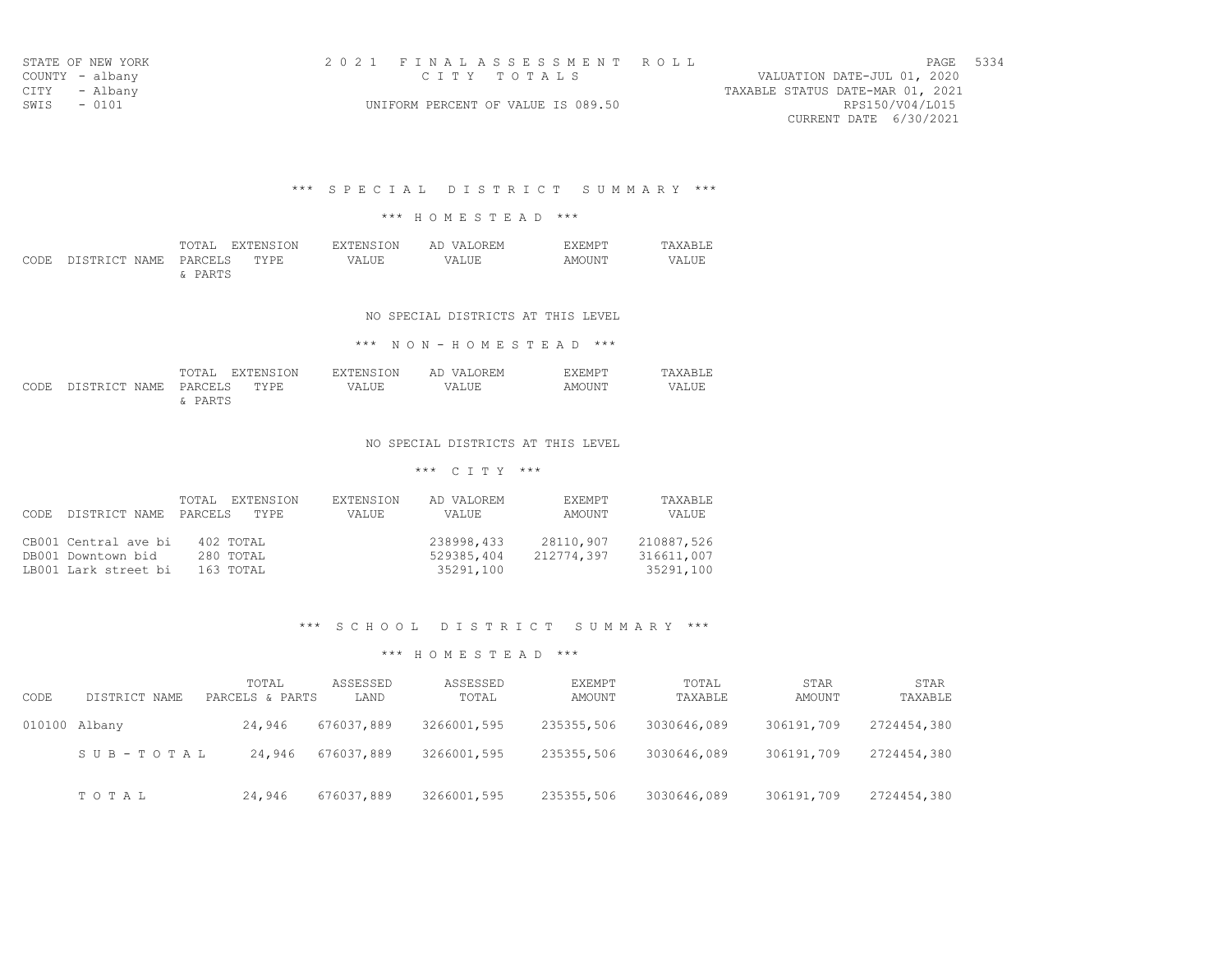|             | STATE OF NEW YORK | 2021 FINALASSESSMENT ROLL                             | PAGE 5334 |  |
|-------------|-------------------|-------------------------------------------------------|-----------|--|
|             |                   |                                                       |           |  |
|             | COUNTY - albany   | VALUATION DATE-JUL 01, 2020<br>CITY TOTALS            |           |  |
|             | CITY - Albany     | TAXABLE STATUS DATE-MAR 01, 2021                      |           |  |
| SWIS - 0101 |                   | RPS150/V04/L015<br>UNIFORM PERCENT OF VALUE IS 089.50 |           |  |
|             |                   | CURRENT DATE 6/30/2021                                |           |  |

### \*\*\* S P E C I A L D I S T R I C T S U M M A R Y \*\*\*

### \*\*\* H O M E S T E A D \*\*\*

|                                 |         | TOTAL EXTENSION | EXTENSION | AD VALOREM | <b>F.XEMPT</b> | <b>TAXABLE</b> |
|---------------------------------|---------|-----------------|-----------|------------|----------------|----------------|
| CODE DISTRICT NAME PARCELS TYPE |         |                 | VALUE     | VALUE      | AMOUNT         | VALUE          |
|                                 | & PARTS |                 |           |            |                |                |

### NO SPECIAL DISTRICTS AT THIS LEVEL

### \*\*\* N O N - H O M E S T E A D \*\*\*

|                                 |         | TOTAL EXTENSION | EXTENSION | AD VALOREM | <b>FXFMPT</b> | TAXABLE. |
|---------------------------------|---------|-----------------|-----------|------------|---------------|----------|
| CODE DISTRICT NAME PARCELS TYPE |         |                 | VALUE.    | VALUE      | AMOUNT        | VALUE    |
|                                 | & PARTS |                 |           |            |               |          |

#### NO SPECIAL DISTRICTS AT THIS LEVEL

## \*\*\* C I T Y \*\*\*

| DISTRICT NAME<br>CODE.                                             | TOTAL EXTENSION<br>PARCELS<br>TYPE. | EXTENSION<br>VALUE | AD VALOREM<br>VALUE                   | EXEMPT<br>AMOUNT        | <b>TAXABLE</b><br>VALUE               |
|--------------------------------------------------------------------|-------------------------------------|--------------------|---------------------------------------|-------------------------|---------------------------------------|
| CB001 Central ave bi<br>DB001 Downtown bid<br>LB001 Lark street bi | 402 TOTAL<br>280 TOTAL<br>163 TOTAL |                    | 238998,433<br>529385,404<br>35291,100 | 28110,907<br>212774,397 | 210887,526<br>316611,007<br>35291,100 |

### \*\*\* S C H O O L D I S T R I C T S U M M A R Y \*\*\*

| CODE | DISTRICT NAME   | TOTAL<br>PARCELS & PARTS | ASSESSED<br>LAND | ASSESSED<br>TOTAL | EXEMPT<br>AMOUNT | TOTAL<br>TAXABLE | STAR<br>AMOUNT | STAR<br>TAXABLE |
|------|-----------------|--------------------------|------------------|-------------------|------------------|------------------|----------------|-----------------|
|      | $010100$ Albany | 24,946                   | 676037,889       | 3266001,595       | 235355,506       | 3030646,089      | 306191,709     | 2724454,380     |
|      | SUB-TOTAL       | 24,946                   | 676037,889       | 3266001,595       | 235355,506       | 3030646,089      | 306191,709     | 2724454,380     |
|      | TOTAL           | 24,946                   | 676037,889       | 3266001,595       | 235355,506       | 3030646,089      | 306191,709     | 2724454,380     |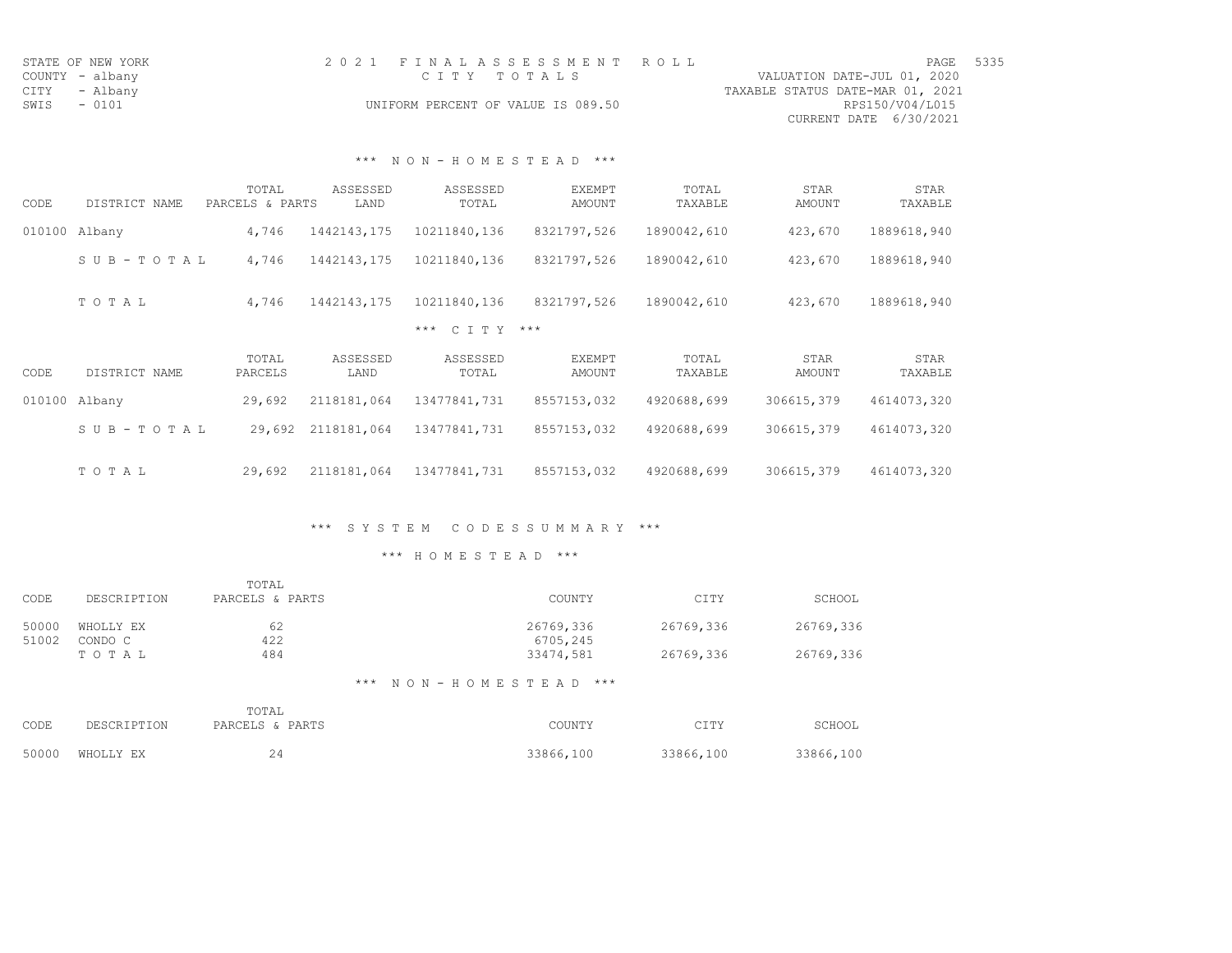| STATE OF NEW YORK | 2021 FINALASSESSMENT ROLL          | 5335<br>PAGE                     |
|-------------------|------------------------------------|----------------------------------|
| COUNTY - albany   | CTTY TOTALS                        | VALUATION DATE-JUL 01, 2020      |
| CITY - Albany     |                                    | TAXABLE STATUS DATE-MAR 01, 2021 |
| SWIS<br>$-0101$   | UNIFORM PERCENT OF VALUE IS 089.50 | RPS150/V04/L015                  |
|                   |                                    | CURRENT DATE 6/30/2021           |

# \*\*\* N O N - H O M E S T E A D \*\*\*

| CODE   | DISTRICT NAME | TOTAL<br>PARCELS & PARTS | ASSESSED<br>LAND | ASSESSED<br>TOTAL | <b>EXEMPT</b><br>AMOUNT | TOTAL<br>TAXABLE | <b>STAR</b><br>AMOUNT | STAR<br>TAXABLE |
|--------|---------------|--------------------------|------------------|-------------------|-------------------------|------------------|-----------------------|-----------------|
| 010100 | Albany        | 4,746                    | 1442143,175      | 10211840,136      | 8321797,526             | 1890042,610      | 423,670               | 1889618,940     |
|        | SUB-TOTAL     | 4,746                    | 1442143,175      | 10211840,136      | 8321797,526             | 1890042,610      | 423,670               | 1889618,940     |
|        | TOTAL         | 4,746                    | 1442143,175      | 10211840,136      | 8321797,526             | 1890042,610      | 423,670               | 1889618,940     |
|        |               |                          |                  | *** C T T Y ***   |                         |                  |                       |                 |
| CODE   | DISTRICT NAME | TOTAL<br>PARCELS         | ASSESSED<br>LAND | ASSESSED<br>TOTAL | EXEMPT<br>AMOUNT        | TOTAL<br>TAXABLE | <b>STAR</b><br>AMOUNT | STAR<br>TAXABLE |
| 010100 | Albany        | 29,692                   | 2118181,064      | 13477841,731      | 8557153,032             | 4920688,699      | 306615,379            | 4614073,320     |
|        | SUB-TOTAL     | 29,692                   | 2118181,064      | 13477841,731      | 8557153,032             | 4920688,699      | 306615,379            | 4614073,320     |
|        | TOTAL         | 29,692                   | 2118181,064      | 13477841,731      | 8557153,032             | 4920688,699      | 306615,379            | 4614073,320     |

# \*\*\* S Y S T E M C O D E S S U M M A R Y \*\*\*

| CODE           | DESCRIPTION          | TOTAL<br>PARCELS & PARTS | COUNTY                     | CITY      | SCHOOL    |
|----------------|----------------------|--------------------------|----------------------------|-----------|-----------|
| 50000<br>51002 | WHOLLY EX<br>CONDO C | 62<br>422                | 26769,336<br>6705,245      | 26769,336 | 26769,336 |
|                | TOTAL                | 484                      | 33474,581                  | 26769,336 | 26769,336 |
|                |                      |                          | *** NON-HOMESTEAD<br>$***$ |           |           |

|      |                 | TOTAL           |           |           |           |
|------|-----------------|-----------------|-----------|-----------|-----------|
| CODE | DESCRIPTION     | PARCELS & PARTS | COUNTY    | CITY      | SCHOOL    |
|      | 50000 WHOLLY EX | 24              | 33866,100 | 33866,100 | 33866,100 |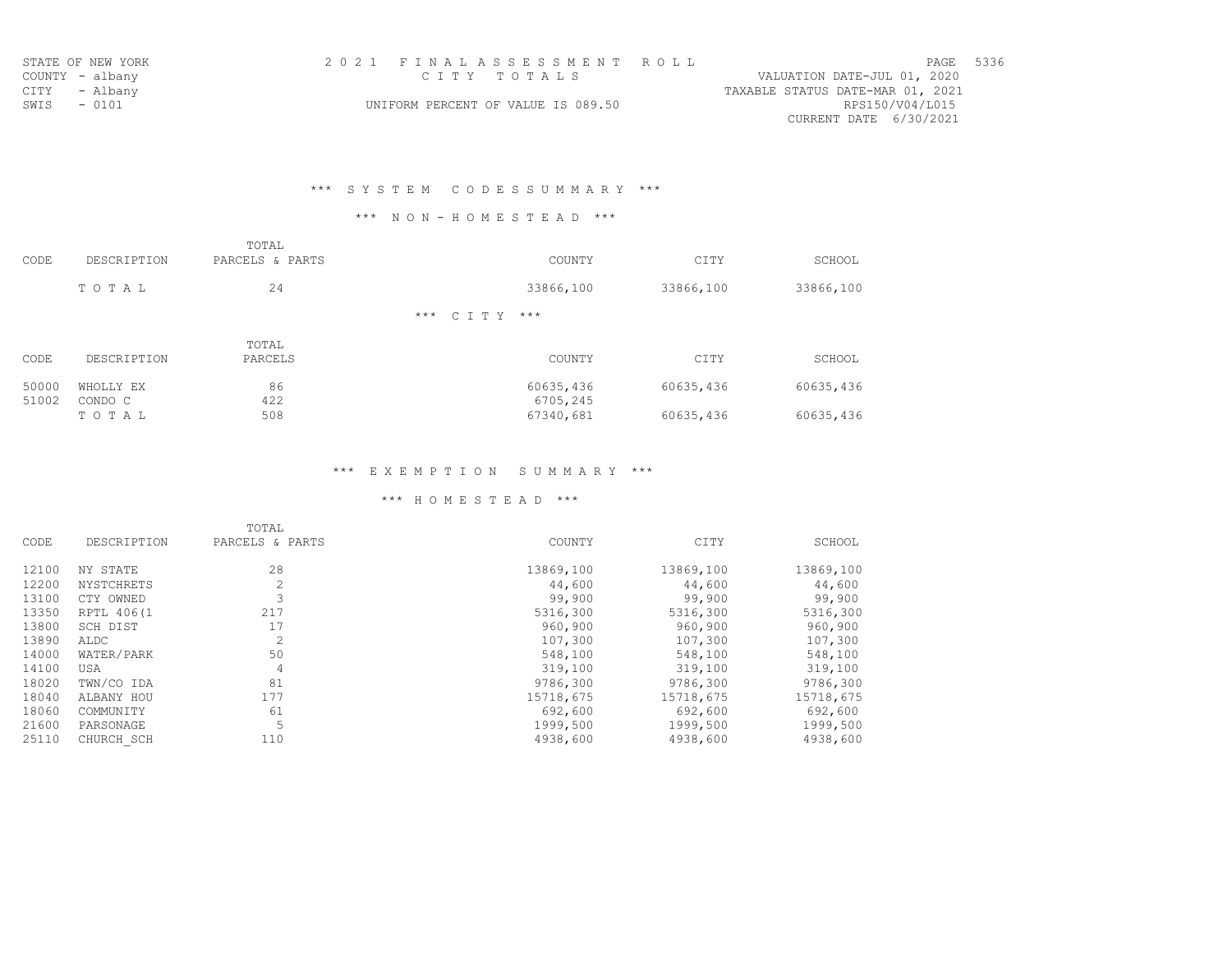|                 | STATE OF NEW YORK | 2021 FINALASSESSMENT ROLL                             | PAGE | 5336 |
|-----------------|-------------------|-------------------------------------------------------|------|------|
| COUNTY - albany |                   | VALUATION DATE-JUL 01, 2020<br>CITY TOTALS            |      |      |
| CITY - Albany   |                   | TAXABLE STATUS DATE-MAR 01, 2021                      |      |      |
| SWIS - 0101     |                   | RPS150/V04/L015<br>UNIFORM PERCENT OF VALUE IS 089.50 |      |      |
|                 |                   | CURRENT DATE 6/30/2021                                |      |      |

# \*\*\* S Y S T E M C O D E S S U M M A R Y \*\*\*

## \*\*\* N O N - H O M E S T E A D \*\*\*

| CODE           | DESCRIPTION          | TOTAL<br>PARCELS & PARTS | COUNTY                | CITY      | SCHOOL    |
|----------------|----------------------|--------------------------|-----------------------|-----------|-----------|
|                | TOTAL                | 24                       | 33866,100             | 33866,100 | 33866,100 |
|                |                      |                          | *** C T T Y<br>$***$  |           |           |
| CODE           | DESCRIPTION          | TOTAL<br>PARCELS         | COUNTY                | CITY      | SCHOOL    |
| 50000<br>51002 | WHOLLY EX<br>CONDO C | 86<br>422                | 60635,436<br>6705,245 | 60635,436 | 60635,436 |
|                | TOTAL                | 508                      | 67340,681             | 60635,436 | 60635,436 |

# \*\*\* E X E M P T I O N S U M M A R Y \*\*\*

|       |                   | TOTAL           |           |           |           |
|-------|-------------------|-----------------|-----------|-----------|-----------|
| CODE  | DESCRIPTION       | PARCELS & PARTS | COUNTY    | CITY      | SCHOOL    |
| 12100 | NY STATE          | 28              | 13869,100 | 13869,100 | 13869,100 |
| 12200 | <b>NYSTCHRETS</b> | 2               | 44,600    | 44,600    | 44,600    |
| 13100 | CTY OWNED         |                 | 99,900    | 99,900    | 99,900    |
| 13350 | RPTL 406(1        | 217             | 5316,300  | 5316,300  | 5316,300  |
| 13800 | SCH DIST          | 17              | 960,900   | 960,900   | 960,900   |
| 13890 | ALDC              | $\overline{c}$  | 107,300   | 107,300   | 107,300   |
| 14000 | WATER/PARK        | 50              | 548,100   | 548,100   | 548,100   |
| 14100 | USA               | 4               | 319,100   | 319,100   | 319,100   |
| 18020 | TWN/CO IDA        | 81              | 9786,300  | 9786,300  | 9786,300  |
| 18040 | ALBANY HOU        | 177             | 15718,675 | 15718,675 | 15718,675 |
| 18060 | COMMUNITY         | 61              | 692,600   | 692,600   | 692,600   |
| 21600 | PARSONAGE         | 5               | 1999,500  | 1999,500  | 1999,500  |
| 25110 | CHURCH SCH        | 110             | 4938,600  | 4938,600  | 4938,600  |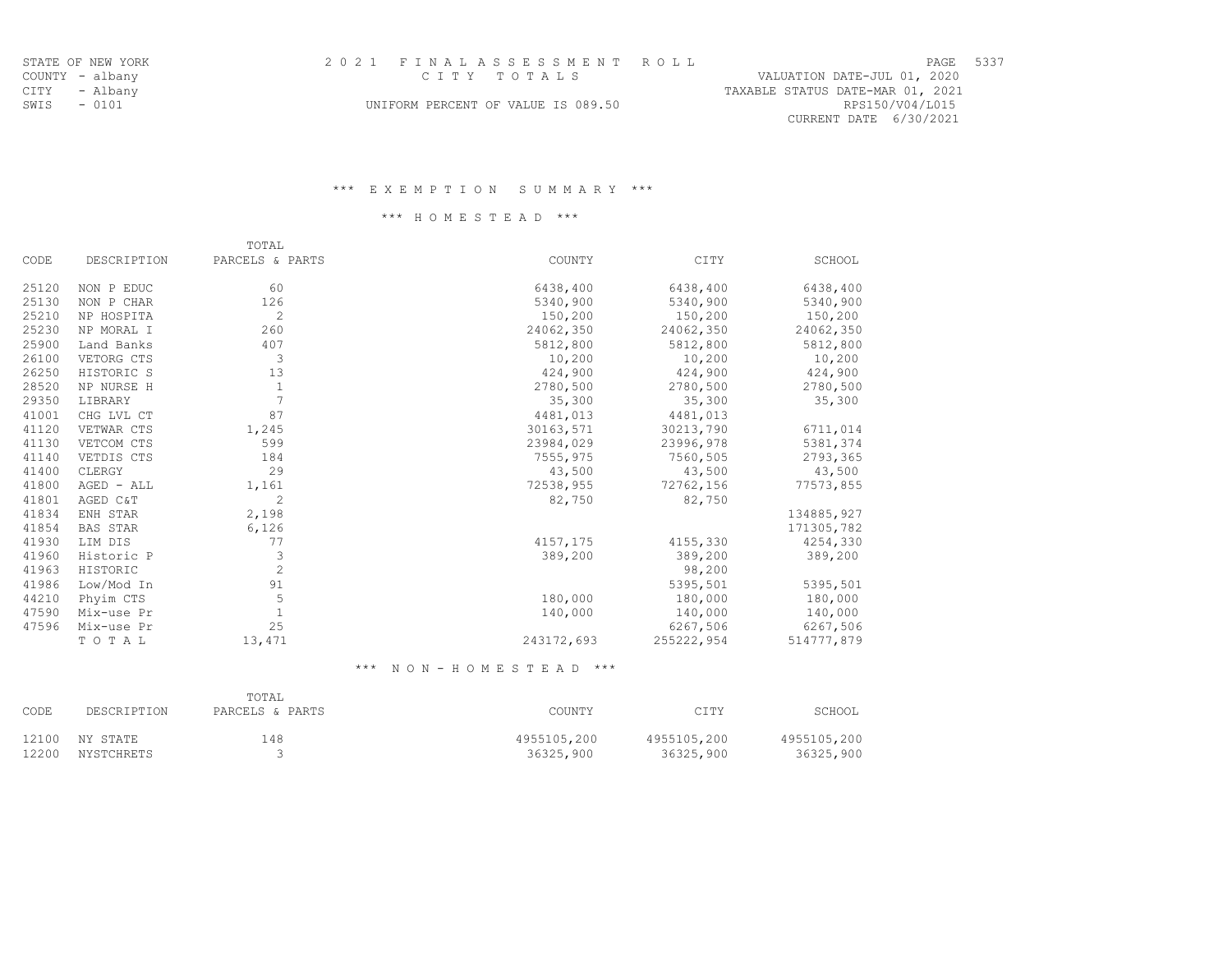| -<br>-<br>- 11 |  |
|----------------|--|
| г              |  |

CURRENT DATE 6/30/2021

SWIS - 0101 UNIFORM PERCENT OF VALUE IS 089.50 RPS150/V04/L015

#### \*\*\* E X E M P T I O N S U M M A R Y \*\*\*

### \*\*\* H O M E S T E A D \*\*\*

|       |                 | TOTAL           |            |            |            |
|-------|-----------------|-----------------|------------|------------|------------|
| CODE  | DESCRIPTION     | PARCELS & PARTS | COUNTY     | CITY       | SCHOOL     |
| 25120 | NON P EDUC      | 60              | 6438,400   | 6438,400   | 6438,400   |
| 25130 | NON P CHAR      | 126             | 5340,900   | 5340,900   | 5340,900   |
| 25210 | NP HOSPITA      | $\overline{c}$  | 150,200    | 150,200    | 150,200    |
| 25230 | NP MORAL I      | 260             | 24062,350  | 24062,350  | 24062,350  |
| 25900 | Land Banks      | 407             | 5812,800   | 5812,800   | 5812,800   |
| 26100 | VETORG CTS      | 3               | 10,200     | 10,200     | 10,200     |
| 26250 | HISTORIC S      | 13              | 424,900    | 424,900    | 424,900    |
| 28520 | NP NURSE H      | 1               | 2780,500   | 2780,500   | 2780,500   |
| 29350 | LIBRARY         |                 | 35,300     | 35,300     | 35,300     |
| 41001 | CHG LVL CT      | 87              | 4481,013   | 4481,013   |            |
| 41120 | VETWAR CTS      | 1,245           | 30163,571  | 30213,790  | 6711,014   |
| 41130 | VETCOM CTS      | 599             | 23984,029  | 23996,978  | 5381,374   |
| 41140 | VETDIS CTS      | 184             | 7555,975   | 7560,505   | 2793,365   |
| 41400 | CLERGY          | 29              | 43,500     | 43,500     | 43,500     |
| 41800 | AGED - ALL      | 1,161           | 72538,955  | 72762,156  | 77573,855  |
| 41801 | AGED C&T        | $\overline{c}$  | 82,750     | 82,750     |            |
| 41834 | ENH STAR        | 2,198           |            |            | 134885,927 |
| 41854 | <b>BAS STAR</b> | 6,126           |            |            | 171305,782 |
| 41930 | LIM DIS         | 77              | 4157,175   | 4155,330   | 4254,330   |
| 41960 | Historic P      | 3               | 389,200    | 389,200    | 389,200    |
| 41963 | HISTORIC        | $\overline{c}$  |            | 98,200     |            |
| 41986 | Low/Mod In      | 91              |            | 5395,501   | 5395,501   |
| 44210 | Phyim CTS       | 5               | 180,000    | 180,000    | 180,000    |
| 47590 | Mix-use Pr      |                 | 140,000    | 140,000    | 140,000    |
| 47596 | Mix-use Pr      | 25              |            | 6267,506   | 6267,506   |
|       | TOTAL           | 13,471          | 243172,693 | 255222,954 | 514777,879 |

\*\*\* N O N - H O M E S T E A D \*\*\*

| CODE  | DESCRIPTION | TOTAL<br>PARCELS & PARTS | COUNTY      | CITY        | SCHOOL      |
|-------|-------------|--------------------------|-------------|-------------|-------------|
| 12100 | NY STATE    | 148                      | 4955105,200 | 4955105,200 | 4955105,200 |
| 12200 | NYSTCHRETS  |                          | 36325,900   | 36325,900   | 36325,900   |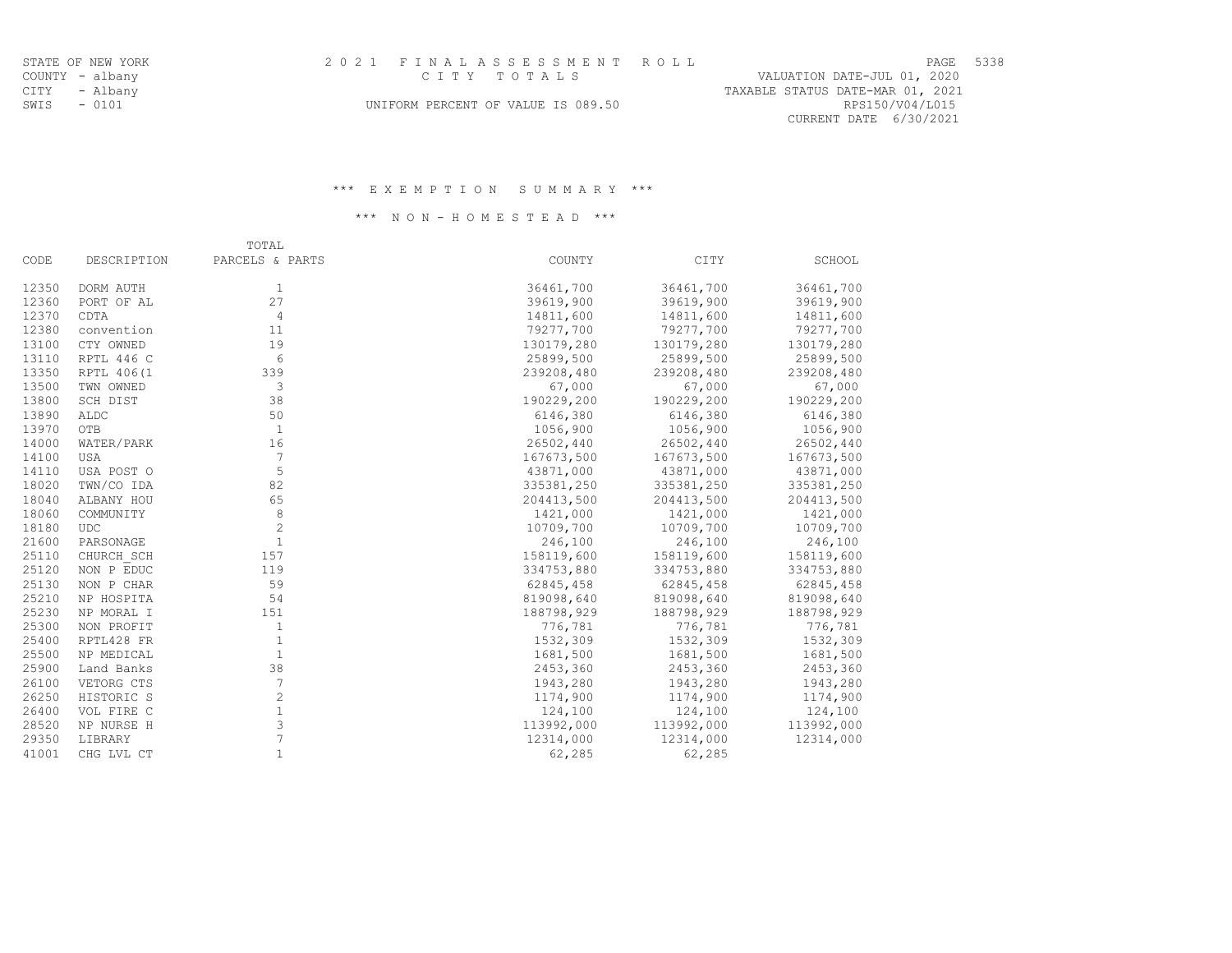| ┄   | . ک |
|-----|-----|
| тг. |     |

CURRENT DATE 6/30/2021

SWIS - 0101 CONSTRUCTED TO MAKE OF VALUE IS 089.50 RPS150/V04/L015

#### \*\*\* E X E M P T I O N S U M M A R Y \*\*\*

### \*\*\* N O N - H O M E S T E A D \*\*\*

|       |             | TOTAL           |            |            |            |
|-------|-------------|-----------------|------------|------------|------------|
| CODE  | DESCRIPTION | PARCELS & PARTS | COUNTY     | CITY       | SCHOOL     |
| 12350 | DORM AUTH   | 1               | 36461,700  | 36461,700  | 36461,700  |
| 12360 | PORT OF AL  | 27              | 39619,900  | 39619,900  | 39619,900  |
| 12370 | CDTA        | $\overline{4}$  | 14811,600  | 14811,600  | 14811,600  |
| 12380 | convention  | 11              | 79277,700  | 79277,700  | 79277,700  |
| 13100 | CTY OWNED   | 19              | 130179,280 | 130179,280 | 130179,280 |
| 13110 | RPTL 446 C  | 6               | 25899,500  | 25899,500  | 25899,500  |
| 13350 | RPTL 406(1  | 339             | 239208,480 | 239208,480 | 239208,480 |
| 13500 | TWN OWNED   | 3               | 67,000     | 67,000     | 67,000     |
| 13800 | SCH DIST    | 38              | 190229,200 | 190229,200 | 190229,200 |
| 13890 | ALDC        | 50              | 6146,380   | 6146,380   | 6146,380   |
| 13970 | OTB         | 1               | 1056,900   | 1056,900   | 1056,900   |
| 14000 | WATER/PARK  | 16              | 26502,440  | 26502,440  | 26502,440  |
| 14100 | <b>USA</b>  | 7               | 167673,500 | 167673,500 | 167673,500 |
| 14110 | USA POST O  | 5               | 43871,000  | 43871,000  | 43871,000  |
| 18020 | TWN/CO IDA  | 82              | 335381,250 | 335381,250 | 335381,250 |
| 18040 | ALBANY HOU  | 65              | 204413,500 | 204413,500 | 204413,500 |
| 18060 | COMMUNITY   | 8               | 1421,000   | 1421,000   | 1421,000   |
| 18180 | <b>UDC</b>  | $\overline{c}$  | 10709,700  | 10709,700  | 10709,700  |
| 21600 | PARSONAGE   | $\mathbf{1}$    | 246,100    | 246,100    | 246,100    |
| 25110 | CHURCH SCH  | 157             | 158119,600 | 158119,600 | 158119,600 |
| 25120 | NON P EDUC  | 119             | 334753,880 | 334753,880 | 334753,880 |
| 25130 | NON P CHAR  | 59              | 62845,458  | 62845,458  | 62845,458  |
| 25210 | NP HOSPITA  | 54              | 819098,640 | 819098,640 | 819098,640 |
| 25230 | NP MORAL I  | 151             | 188798,929 | 188798,929 | 188798,929 |
| 25300 | NON PROFIT  | 1               | 776,781    | 776,781    | 776,781    |
| 25400 | RPTL428 FR  | $\mathbf{1}$    | 1532,309   | 1532,309   | 1532,309   |
| 25500 | NP MEDICAL  | $\mathbf{1}$    | 1681,500   | 1681,500   | 1681,500   |
| 25900 | Land Banks  | 38              | 2453,360   | 2453,360   | 2453,360   |
| 26100 | VETORG CTS  | $7\phantom{.0}$ | 1943,280   | 1943,280   | 1943,280   |
| 26250 | HISTORIC S  | $\mathbf{2}$    | 1174,900   | 1174,900   | 1174,900   |
| 26400 | VOL FIRE C  | $\mathbf{1}$    | 124,100    | 124,100    | 124,100    |
| 28520 | NP NURSE H  | 3               | 113992,000 | 113992,000 | 113992,000 |
| 29350 | LIBRARY     | $\overline{7}$  | 12314,000  | 12314,000  | 12314,000  |
| 41001 | CHG LVL CT  | $\mathbf{1}$    | 62,285     | 62,285     |            |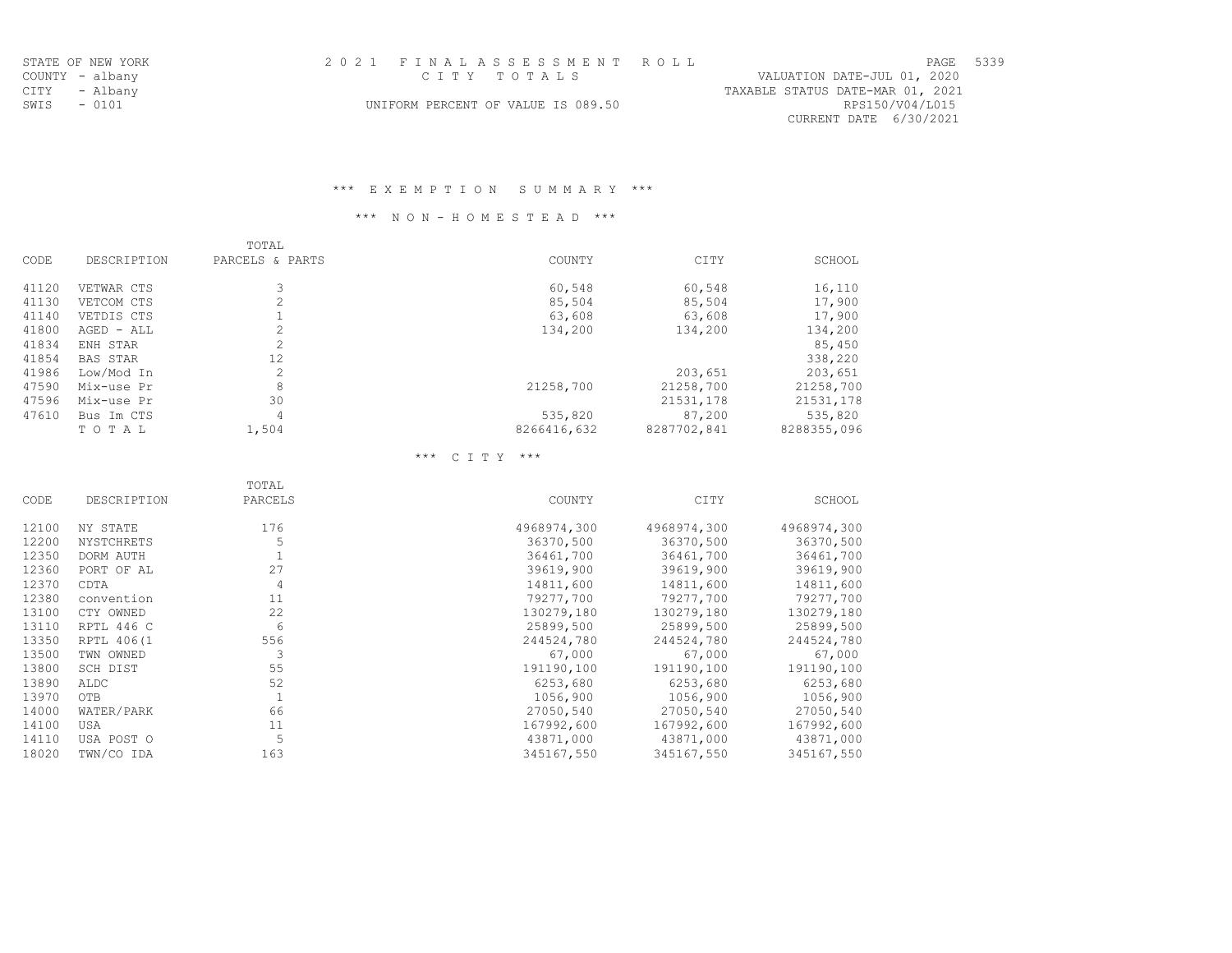|             | STATE OF NEW YORK | 2021 FINALASSESSMENT ROLL                             | PAGE 5339 |  |
|-------------|-------------------|-------------------------------------------------------|-----------|--|
|             | COUNTY - albany   | VALUATION DATE-JUL 01, 2020<br>CITY TOTALS            |           |  |
|             | CITY - Albany     | TAXABLE STATUS DATE-MAR 01, 2021                      |           |  |
| SWIS - 0101 |                   | RPS150/V04/L015<br>UNIFORM PERCENT OF VALUE IS 089.50 |           |  |
|             |                   | CURRENT DATE 6/30/2021                                |           |  |

# \*\*\* E X E M P T I O N S U M M A R Y \*\*\*

# \*\*\* N O N - H O M E S T E A D \*\*\*

|       |                 | TOTAL           |             |             |             |
|-------|-----------------|-----------------|-------------|-------------|-------------|
| CODE  | DESCRIPTION     | PARCELS & PARTS | COUNTY      | CITY        | SCHOOL      |
| 41120 | VETWAR CTS      |                 | 60,548      | 60,548      | 16,110      |
| 41130 | VETCOM CTS      | 2               | 85,504      | 85,504      | 17,900      |
| 41140 | VETDIS CTS      |                 | 63,608      | 63,608      | 17,900      |
| 41800 | AGED - ALL      | $\overline{c}$  | 134,200     | 134,200     | 134,200     |
| 41834 | ENH STAR        | $\mathcal{L}$   |             |             | 85,450      |
| 41854 | <b>BAS STAR</b> | 12              |             |             | 338,220     |
| 41986 | Low/Mod In      | 2               |             | 203,651     | 203,651     |
| 47590 | Mix-use Pr      | 8               | 21258,700   | 21258,700   | 21258,700   |
| 47596 | Mix-use Pr      | 30              |             | 21531,178   | 21531,178   |
| 47610 | Bus Im CTS      | 4               | 535,820     | 87,200      | 535,820     |
|       | TOTAL           | 1,504           | 8266416,632 | 8287702,841 | 8288355,096 |

# \*\*\* C I T Y \*\*\*

|       |             | TOTAL          |             |             |             |
|-------|-------------|----------------|-------------|-------------|-------------|
| CODE  | DESCRIPTION | PARCELS        | COUNTY      | CITY        | SCHOOL      |
| 12100 | NY STATE    | 176            | 4968974,300 | 4968974,300 | 4968974,300 |
| 12200 | NYSTCHRETS  |                | 36370,500   | 36370,500   | 36370,500   |
| 12350 | DORM AUTH   |                | 36461,700   | 36461,700   | 36461,700   |
| 12360 | PORT OF AL  | 27             | 39619,900   | 39619,900   | 39619,900   |
| 12370 | CDTA        | $\overline{4}$ | 14811,600   | 14811,600   | 14811,600   |
| 12380 | convention  | 11             | 79277,700   | 79277,700   | 79277,700   |
| 13100 | CTY OWNED   | 22             | 130279,180  | 130279,180  | 130279,180  |
| 13110 | RPTL 446 C  | 6              | 25899,500   | 25899,500   | 25899,500   |
| 13350 | RPTL 406(1  | 556            | 244524,780  | 244524,780  | 244524,780  |
| 13500 | TWN OWNED   |                | 67,000      | 67,000      | 67,000      |
| 13800 | SCH DIST    | 55             | 191190,100  | 191190,100  | 191190,100  |
| 13890 | ALDC        | 52             | 6253,680    | 6253,680    | 6253,680    |
| 13970 | OTB         | $\mathbf{1}$   | 1056,900    | 1056,900    | 1056,900    |
| 14000 | WATER/PARK  | 66             | 27050,540   | 27050,540   | 27050,540   |
| 14100 | <b>USA</b>  | 11             | 167992,600  | 167992,600  | 167992,600  |
| 14110 | USA POST O  | 5              | 43871,000   | 43871,000   | 43871,000   |
| 18020 | TWN/CO IDA  | 163            | 345167,550  | 345167,550  | 345167,550  |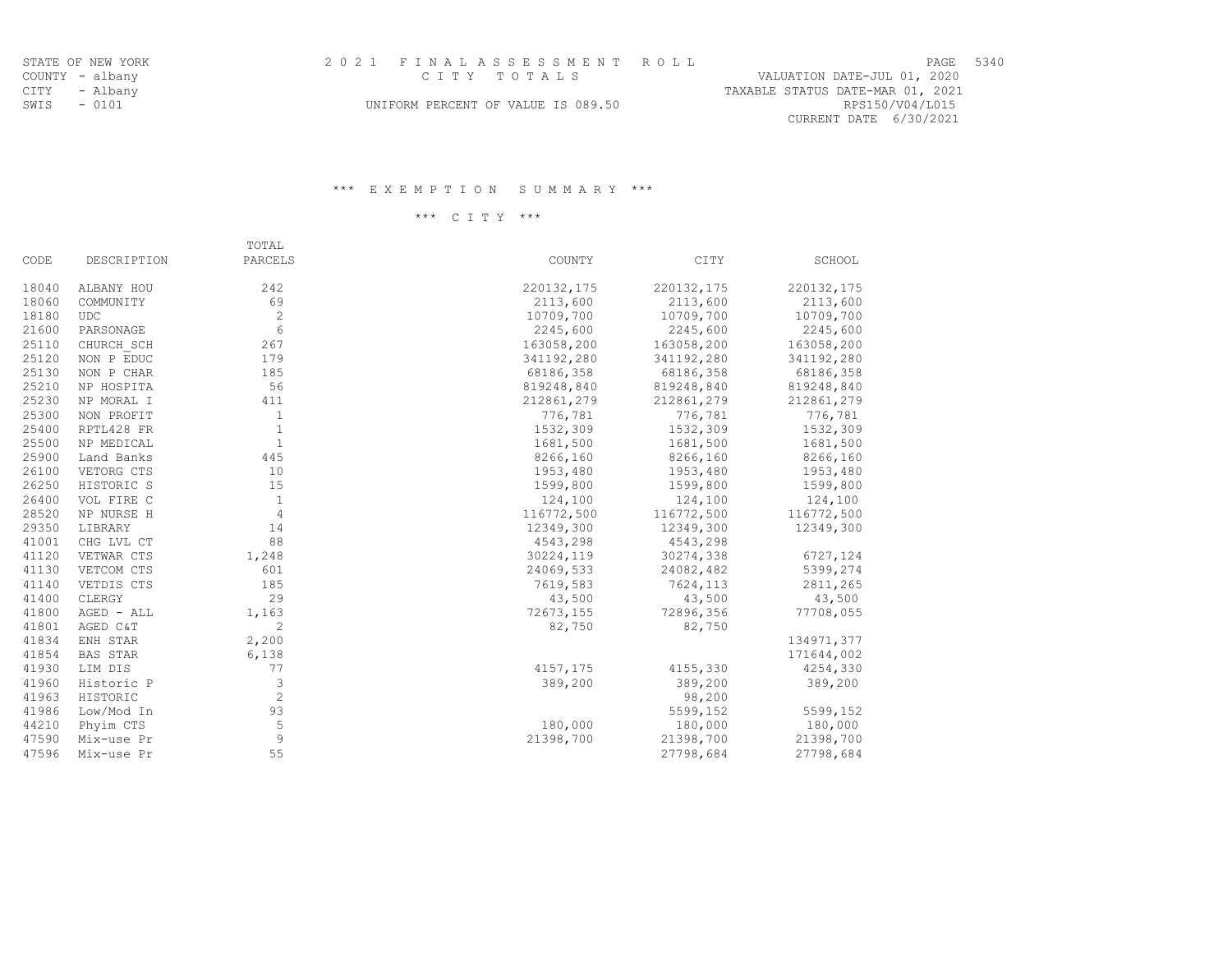| ∼<br>، ۳۰ آ | 34 |
|-------------|----|
|             |    |

CURRENT DATE 6/30/2021

SWIS - 0101 UNIFORM PERCENT OF VALUE IS 089.50 RPS150/V04/L015

#### \*\*\* E X E M P T I O N S U M M A R Y \*\*\*

\*\*\* C I T Y \*\*\*

|       |                 | TOTAL          |            |            |            |
|-------|-----------------|----------------|------------|------------|------------|
| CODE  | DESCRIPTION     | PARCELS        | COUNTY     | CITY       | SCHOOL     |
| 18040 | ALBANY HOU      | 242            | 220132,175 | 220132,175 | 220132,175 |
| 18060 | COMMUNITY       | 69             | 2113,600   | 2113,600   | 2113,600   |
| 18180 | <b>UDC</b>      | $\overline{c}$ | 10709,700  | 10709,700  | 10709,700  |
| 21600 | PARSONAGE       | 6              | 2245,600   | 2245,600   | 2245,600   |
| 25110 | CHURCH SCH      | 267            | 163058,200 | 163058,200 | 163058,200 |
| 25120 | NON P EDUC      | 179            | 341192,280 | 341192,280 | 341192,280 |
| 25130 | NON P CHAR      | 185            | 68186,358  | 68186,358  | 68186,358  |
| 25210 | NP HOSPITA      | 56             | 819248,840 | 819248,840 | 819248,840 |
| 25230 | NP MORAL I      | 411            | 212861,279 | 212861,279 | 212861,279 |
| 25300 | NON PROFIT      | $\mathbf{1}$   | 776,781    | 776,781    | 776,781    |
| 25400 | RPTL428 FR      | $\mathbf{1}$   | 1532,309   | 1532,309   | 1532,309   |
| 25500 | NP MEDICAL      | $\mathbf{1}$   | 1681,500   | 1681,500   | 1681,500   |
| 25900 | Land Banks      | 445            | 8266,160   | 8266,160   | 8266,160   |
| 26100 | VETORG CTS      | 10             | 1953,480   | 1953,480   | 1953,480   |
| 26250 | HISTORIC S      | 15             | 1599,800   | 1599,800   | 1599,800   |
| 26400 | VOL FIRE C      | 1              | 124,100    | 124,100    | 124,100    |
| 28520 | NP NURSE H      | $\overline{4}$ | 116772,500 | 116772,500 | 116772,500 |
| 29350 | LIBRARY         | 14             | 12349,300  | 12349,300  | 12349,300  |
| 41001 | CHG LVL CT      | 88             | 4543,298   | 4543,298   |            |
| 41120 | VETWAR CTS      | 1,248          | 30224,119  | 30274,338  | 6727,124   |
| 41130 | VETCOM CTS      | 601            | 24069,533  | 24082,482  | 5399,274   |
| 41140 | VETDIS CTS      | 185            | 7619,583   | 7624,113   | 2811,265   |
| 41400 | CLERGY          | 29             | 43,500     | 43,500     | 43,500     |
| 41800 | AGED - ALL      | 1,163          | 72673,155  | 72896,356  | 77708,055  |
| 41801 | AGED C&T        | $\overline{c}$ | 82,750     | 82,750     |            |
| 41834 | ENH STAR        | 2,200          |            |            | 134971,377 |
| 41854 | <b>BAS STAR</b> | 6,138          |            |            | 171644,002 |
| 41930 | LIM DIS         | 77             | 4157,175   | 4155,330   | 4254,330   |
| 41960 | Historic P      | 3              | 389,200    | 389,200    | 389,200    |
| 41963 | HISTORIC        | $\overline{c}$ |            | 98,200     |            |
| 41986 | Low/Mod In      | 93             |            | 5599,152   | 5599,152   |
| 44210 | Phyim CTS       | 5              | 180,000    | 180,000    | 180,000    |
| 47590 | Mix-use Pr      | 9              | 21398,700  | 21398,700  | 21398,700  |
| 47596 | Mix-use Pr      | 55             |            | 27798,684  | 27798,684  |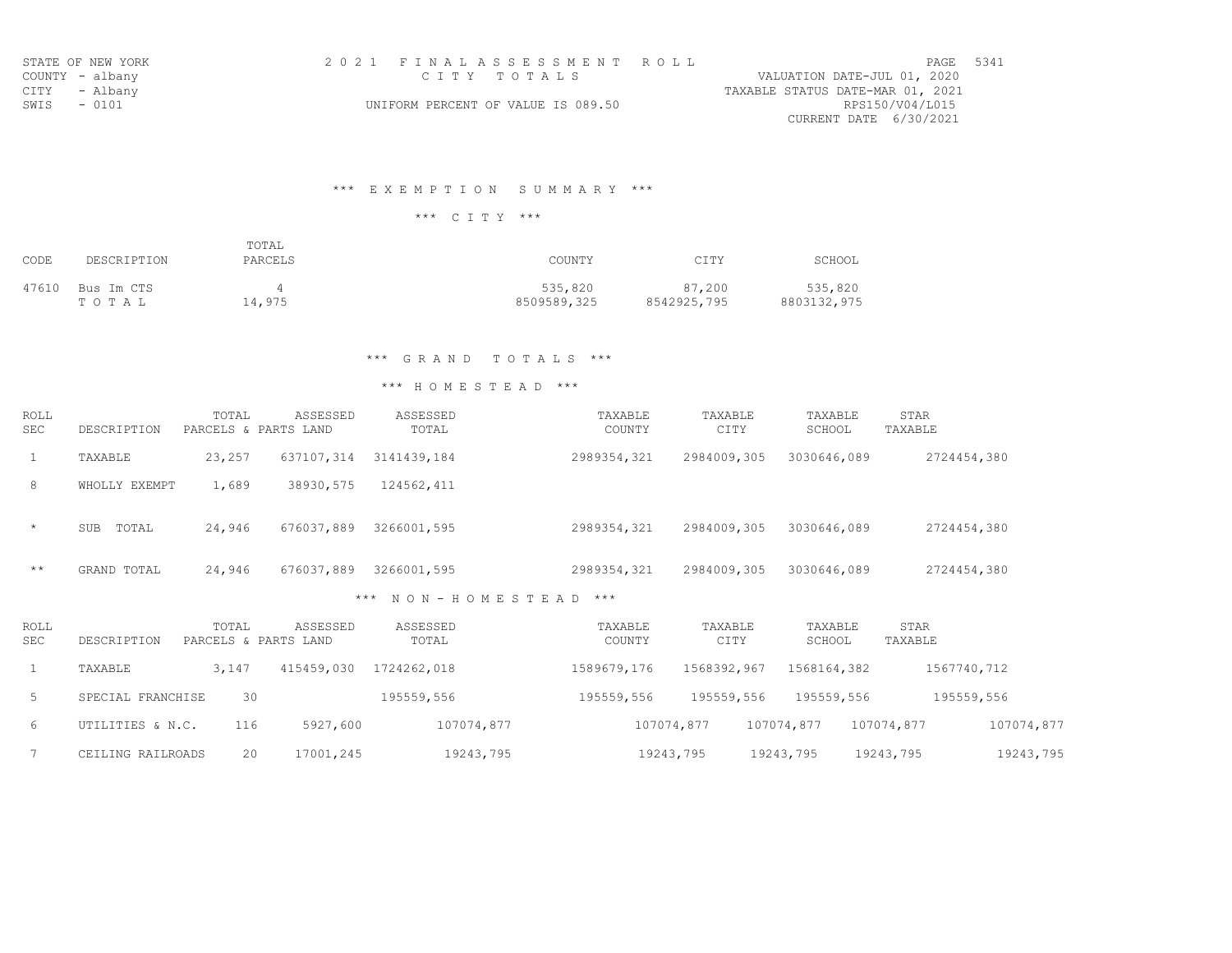|                 | STATE OF NEW YORK | 2021 FINALASSESSMENT ROLL          | PAGE 5341                        |  |
|-----------------|-------------------|------------------------------------|----------------------------------|--|
| COUNTY - albany |                   | CITY TOTALS                        | VALUATION DATE-JUL 01, 2020      |  |
| CITY - Albany   |                   |                                    | TAXABLE STATUS DATE-MAR 01, 2021 |  |
| SWIS - 0101     |                   | UNIFORM PERCENT OF VALUE IS 089.50 | RPS150/V04/L015                  |  |
|                 |                   |                                    | CURRENT DATE 6/30/2021           |  |

# \*\*\* E X E M P T I O N S U M M A R Y \*\*\*

\*\*\* C I T Y \*\*\*

| CODE  | DESCRIPTION         | TOTAL<br>PARCELS | COUNTY                 | CITY                  | SCHOOL                 |
|-------|---------------------|------------------|------------------------|-----------------------|------------------------|
| 47610 | Bus Im CTS<br>тотаь | 14,975           | 535,820<br>8509589,325 | 87,200<br>8542925,795 | 535,820<br>8803132,975 |

# \*\*\* G R A N D T O T A L S \*\*\*

| ROLL<br><b>SEC</b> | DESCRIPTION         | TOTAL<br>PARCELS & PARTS LAND | ASSESSED   | ASSESSED<br>TOTAL |               | TAXABLE<br>COUNTY | TAXABLE<br>CITY | TAXABLE<br>SCHOOL | STAR<br>TAXABLE |
|--------------------|---------------------|-------------------------------|------------|-------------------|---------------|-------------------|-----------------|-------------------|-----------------|
| 1                  | TAXABLE             | 23,257                        | 637107,314 | 3141439,184       |               | 2989354,321       | 2984009,305     | 3030646,089       | 2724454,380     |
| 8                  | WHOLLY EXEMPT       | 1,689                         | 38930,575  | 124562,411        |               |                   |                 |                   |                 |
| $\star$            | TOTAL<br><b>SUB</b> | 24,946                        | 676037,889 | 3266001,595       |               | 2989354,321       | 2984009,305     | 3030646,089       | 2724454,380     |
| $+ +$              | GRAND TOTAL         | 24,946                        | 676037,889 | 3266001,595       |               | 2989354,321       | 2984009,305     | 3030646,089       | 2724454,380     |
|                    |                     |                               | ***        |                   | NON-HOMESTEAD | $***$             |                 |                   |                 |

| ROLL<br>SEC. | DESCRIPTION       | TOTAL | ASSESSED<br>PARCELS & PARTS LAND | ASSESSED<br>TOTAL | TAXABLE<br>COUNTY | TAXABLE<br>CITY | TAXABLE<br>SCHOOL | STAR<br>TAXABLE |            |
|--------------|-------------------|-------|----------------------------------|-------------------|-------------------|-----------------|-------------------|-----------------|------------|
|              | TAXABLE           | 3,147 | 415459,030                       | 1724262,018       | 1589679,176       | 1568392,967     | 1568164,382       | 1567740,712     |            |
| 5            | SPECIAL FRANCHISE | 30    |                                  | 195559,556        | 195559,556        | 195559,556      | 195559,556        | 195559,556      |            |
| 6            | UTILITIES & N.C.  | 116   | 5927,600                         | 107074,877        |                   | 107074,877      | 107074,877        | 107074,877      | 107074,877 |
|              | CEILING RAILROADS | 20    | 17001,245                        | 19243,795         |                   | 19243,795       | 19243,795         | 19243,795       | 19243,795  |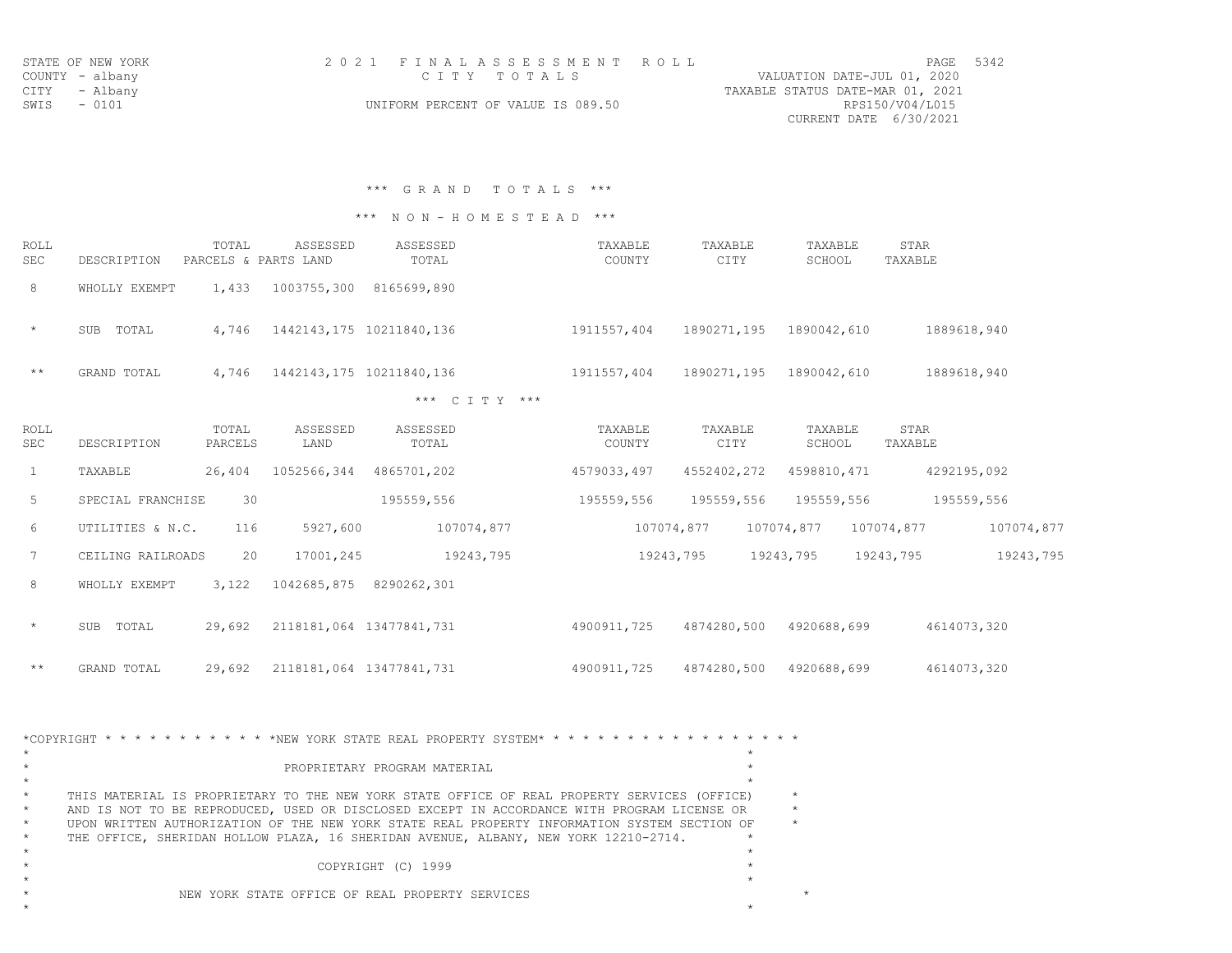|             | STATE OF NEW YORK | 2021 FINALASSESSMENT ROLL          | 5342<br><b>PAGE</b>              |
|-------------|-------------------|------------------------------------|----------------------------------|
|             | COUNTY - albany   | СТТҮ ТОТАЋ S                       | VALUATION DATE-JUL 01, 2020      |
|             | CITY - Albany     |                                    | TAXABLE STATUS DATE-MAR 01, 2021 |
| SWIS - 0101 |                   | UNIFORM PERCENT OF VALUE IS 089.50 | RPS150/V04/L015                  |
|             |                   |                                    | CURRENT DATE 6/30/2021           |

\*\*\* G R A N D T O T A L S \*\*\*

\*\*\* N O N - H O M E S T E A D \*\*\*

| ROLL<br>SEC | DESCRIPTION         | TOTAL<br>PARCELS & PARTS LAND | ASSESSED    | ASSESSED<br>TOTAL        |     | TAXABLE<br>COUNTY | TAXABLE<br>CITY | TAXABLE<br>SCHOOL | STAR<br>TAXABLE |
|-------------|---------------------|-------------------------------|-------------|--------------------------|-----|-------------------|-----------------|-------------------|-----------------|
| 8           | WHOLLY EXEMPT       | 1,433                         | 1003755,300 | 8165699,890              |     |                   |                 |                   |                 |
| $\star$     | TOTAL<br><b>SUB</b> | 4,746                         |             | 1442143,175 10211840,136 |     | 1911557,404       | 1890271,195     | 1890042,610       | 1889618,940     |
| $***$       | GRAND TOTAL         | 4,746                         |             | 1442143,175 10211840,136 |     | 1911557,404       | 1890271,195     | 1890042,610       | 1889618,940     |
|             |                     |                               |             | *** C T T Y              | *** |                   |                 |                   |                 |

| ROLL<br>SEC     | DESCRIPTION         | TOTAL<br>PARCELS | ASSESSED<br>LAND         | ASSESSED<br>TOTAL | TAXABLE<br>COUNTY | TAXABLE<br>CITY | TAXABLE<br>SCHOOL | STAR<br>TAXABLE |            |
|-----------------|---------------------|------------------|--------------------------|-------------------|-------------------|-----------------|-------------------|-----------------|------------|
| $\mathbf{1}$    | TAXABLE             | 26,404           | 1052566,344              | 4865701,202       | 4579033,497       | 4552402,272     | 4598810,471       | 4292195,092     |            |
| 5               | SPECIAL FRANCHISE   | 30               |                          | 195559,556        | 195559,556        | 195559,556      | 195559,556        |                 | 195559,556 |
| 6               | UTILITIES & N.C.    | 116              | 5927,600                 | 107074,877        |                   | 107074,877      | 107074,877        | 107074,877      | 107074,877 |
| $7\overline{ }$ | CEILING RAILROADS   | 20               | 17001,245                | 19243,795         |                   | 19243,795       | 19243,795         | 19243,795       | 19243,795  |
| 8               | WHOLLY EXEMPT       | 3,122            | 1042685,875              | 8290262,301       |                   |                 |                   |                 |            |
| $\star$         | <b>SUB</b><br>TOTAL | 29,692           | 2118181,064 13477841,731 |                   | 4900911,725       | 4874280,500     | 4920688,699       | 4614073,320     |            |
| $\star\star$    | GRAND TOTAL         | 29,692           | 2118181,064 13477841,731 |                   | 4900911,725       | 4874280,500     | 4920688,699       | 4614073,320     |            |

|         | *COPYRIGHT * * * * * * * * * * * * * NEW YORK STATE REAL PROPERTY SYSTEM* * * * * * * * * * * * * * * * * * * |  |
|---------|---------------------------------------------------------------------------------------------------------------|--|
|         | PROPRIETARY PROGRAM MATERIAL                                                                                  |  |
|         |                                                                                                               |  |
| $\star$ | THIS MATERIAL IS PROPRIETARY TO THE NEW YORK STATE OFFICE OF REAL PROPERTY SERVICES (OFFICE)                  |  |
| $\star$ | AND IS NOT TO BE REPRODUCED, USED OR DISCLOSED EXCEPT IN ACCORDANCE WITH PROGRAM LICENSE OR                   |  |
| $\star$ | UPON WRITTEN AUTHORIZATION OF THE NEW YORK STATE REAL PROPERTY INFORMATION SYSTEM SECTION OF                  |  |
| $\star$ | THE OFFICE, SHERIDAN HOLLOW PLAZA, 16 SHERIDAN AVENUE, ALBANY, NEW YORK 12210-2714.                           |  |
|         |                                                                                                               |  |
|         | COPYRIGHT (C) 1999                                                                                            |  |
|         |                                                                                                               |  |
|         | NEW YORK STATE OFFICE OF REAL PROPERTY SERVICES                                                               |  |
|         |                                                                                                               |  |